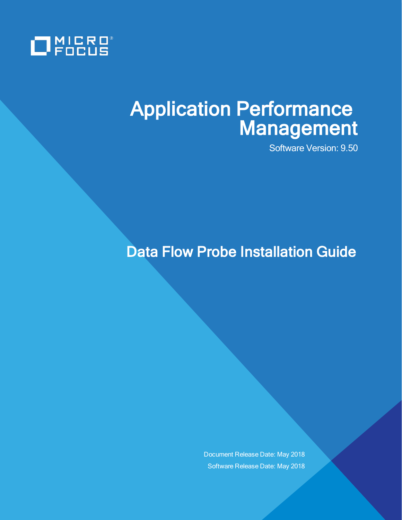

# Application Performance Management

Software Version: 9.50

Data Flow Probe Installation Guide

Document Release Date: May 2018 Software Release Date: May 2018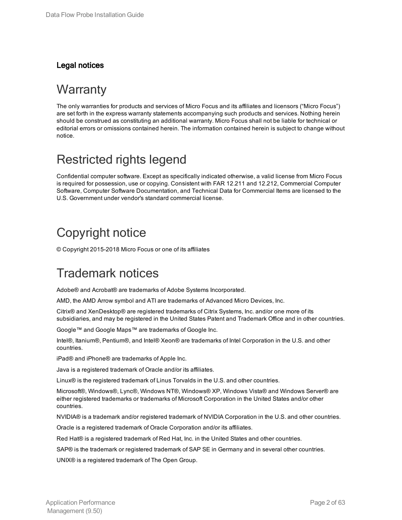### Legal notices

### **Warranty**

The only warranties for products and services of Micro Focus and its affiliates and licensors ("Micro Focus") are set forth in the express warranty statements accompanying such products and services. Nothing herein should be construed as constituting an additional warranty. Micro Focus shall not be liable for technical or editorial errors or omissions contained herein. The information contained herein is subject to change without notice.

### Restricted rights legend

Confidential computer software. Except as specifically indicated otherwise, a valid license from Micro Focus is required for possession, use or copying. Consistent with FAR 12.211 and 12.212, Commercial Computer Software, Computer Software Documentation, and Technical Data for Commercial Items are licensed to the U.S. Government under vendor's standard commercial license.

### Copyright notice

© Copyright 2015-2018 Micro Focus or one of its affiliates

### Trademark notices

Adobe® and Acrobat® are trademarks of Adobe Systems Incorporated.

AMD, the AMD Arrow symbol and ATI are trademarks of Advanced Micro Devices, Inc.

Citrix® and XenDesktop® are registered trademarks of Citrix Systems, Inc. and/or one more of its subsidiaries, and may be registered in the United States Patent and Trademark Office and in other countries.

Google™ and Google Maps™ are trademarks of Google Inc.

Intel®, Itanium®, Pentium®, and Intel® Xeon® are trademarks of Intel Corporation in the U.S. and other countries.

iPad® and iPhone® are trademarks of Apple Inc.

Java is a registered trademark of Oracle and/or its affiliates.

Linux® is the registered trademark of Linus Torvalds in the U.S. and other countries.

Microsoft®, Windows®, Lync®, Windows NT®, Windows® XP, Windows Vista® and Windows Server® are either registered trademarks or trademarks of Microsoft Corporation in the United States and/or other countries.

NVIDIA® is a trademark and/or registered trademark of NVIDIA Corporation in the U.S. and other countries.

Oracle is a registered trademark of Oracle Corporation and/or its affiliates.

Red Hat® is a registered trademark of Red Hat, Inc. in the United States and other countries.

SAP® is the trademark or registered trademark of SAP SE in Germany and in several other countries.

UNIX® is a registered trademark of The Open Group.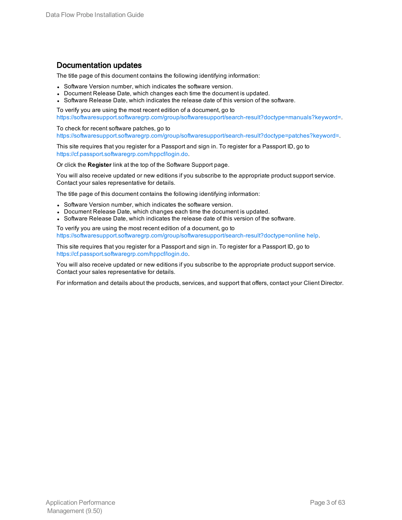### Documentation updates

The title page of this document contains the following identifying information:

- Software Version number, which indicates the software version.
- Document Release Date, which changes each time the document is updated.
- Software Release Date, which indicates the release date of this version of the software.

To verify you are using the most recent edition of a document, go to [https://softwaresupport.softwaregrp.com/group/softwaresupport/search-result?doctype=manuals?keyword=.](https://softwaresupport.softwaregrp.com/group/softwaresupport/search-result?doctype=manuals?keyword=)

To check for recent software patches, go to [https://softwaresupport.softwaregrp.com/group/softwaresupport/search-result?doctype=patches?keyword=.](https://softwaresupport.softwaregrp.com/group/softwaresupport/search-result?doctype=patches?keyword=)

This site requires that you register for a Passport and sign in. To register for a Passport ID, go to <https://cf.passport.softwaregrp.com/hppcf/login.do>.

Or click the **Register** link at the top of the Software Support page.

You will also receive updated or new editions if you subscribe to the appropriate product support service. Contact your sales representative for details.

The title page of this document contains the following identifying information:

- Software Version number, which indicates the software version.
- Document Release Date, which changes each time the document is updated.
- Software Release Date, which indicates the release date of this version of the software.

To verify you are using the most recent edition of a document, go to [https://softwaresupport.softwaregrp.com/group/softwaresupport/search-result?doctype=online](https://softwaresupport.softwaregrp.com/group/softwaresupport/search-result?doctype=online help) help.

This site requires that you register for a Passport and sign in. To register for a Passport ID, go to <https://cf.passport.softwaregrp.com/hppcf/login.do>.

You will also receive updated or new editions if you subscribe to the appropriate product support service. Contact your sales representative for details.

For information and details about the products, services, and support that offers, contact your Client Director.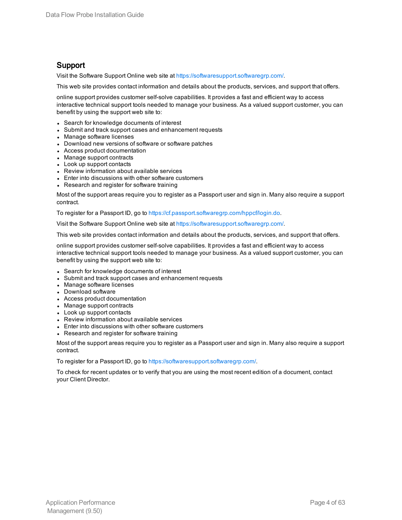### Support

Visit the Software Support Online web site at <https://softwaresupport.softwaregrp.com/>.

This web site provides contact information and details about the products, services, and support that offers.

online support provides customer self-solve capabilities. It provides a fast and efficient way to access interactive technical support tools needed to manage your business. As a valued support customer, you can benefit by using the support web site to:

- Search for knowledge documents of interest
- Submit and track support cases and enhancement requests
- Manage software licenses
- Download new versions of software or software patches
- Access product documentation
- Manage support contracts
- Look up support contacts
- Review information about available services
- Enter into discussions with other software customers
- Research and register for software training

Most of the support areas require you to register as a Passport user and sign in. Many also require a support contract.

To register for a Passport ID, go to [https://cf.passport.softwaregrp.com/hppcf/login.do.](https://cf.passport.softwaregrp.com/hppcf/login.do)

Visit the Software Support Online web site at <https://softwaresupport.softwaregrp.com/>.

This web site provides contact information and details about the products, services, and support that offers.

online support provides customer self-solve capabilities. It provides a fast and efficient way to access interactive technical support tools needed to manage your business. As a valued support customer, you can benefit by using the support web site to:

- Search for knowledge documents of interest
- Submit and track support cases and enhancement requests
- Manage software licenses
- Download software
- Access product documentation
- Manage support contracts
- Look up support contacts
- Review information about available services
- Enter into discussions with other software customers
- Research and register for software training

Most of the support areas require you to register as a Passport user and sign in. Many also require a support contract.

To register for a Passport ID, go to <https://softwaresupport.softwaregrp.com/>.

To check for recent updates or to verify that you are using the most recent edition of a document, contact your Client Director.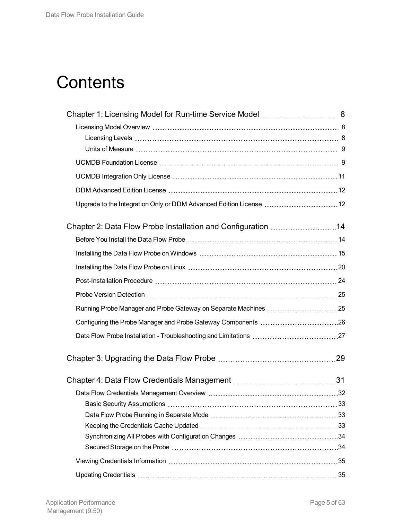# **Contents**

| Upgrade to the Integration Only or DDM Advanced Edition License 12 |  |
|--------------------------------------------------------------------|--|
| Chapter 2: Data Flow Probe Installation and Configuration 14       |  |
|                                                                    |  |
|                                                                    |  |
|                                                                    |  |
|                                                                    |  |
|                                                                    |  |
| Running Probe Manager and Probe Gateway on Separate Machines 25    |  |
|                                                                    |  |
|                                                                    |  |
|                                                                    |  |
|                                                                    |  |
|                                                                    |  |
|                                                                    |  |
|                                                                    |  |
|                                                                    |  |
|                                                                    |  |
|                                                                    |  |
|                                                                    |  |
|                                                                    |  |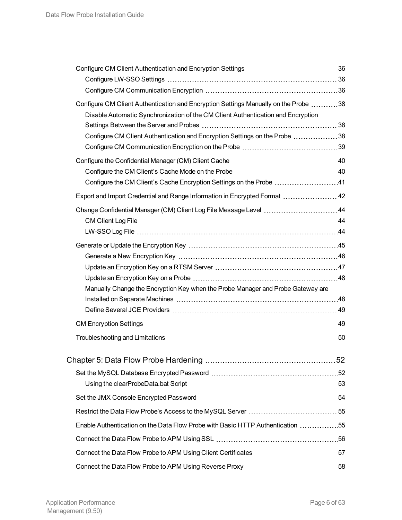| Configure CM Client Authentication and Encryption Settings Manually on the Probe 38 |  |
|-------------------------------------------------------------------------------------|--|
| Disable Automatic Synchronization of the CM Client Authentication and Encryption    |  |
|                                                                                     |  |
| Configure CM Client Authentication and Encryption Settings on the Probe 38          |  |
|                                                                                     |  |
|                                                                                     |  |
|                                                                                     |  |
| Configure the CM Client's Cache Encryption Settings on the Probe 41                 |  |
| Export and Import Credential and Range Information in Encrypted Format  42          |  |
| Change Confidential Manager (CM) Client Log File Message Level 44                   |  |
|                                                                                     |  |
|                                                                                     |  |
|                                                                                     |  |
|                                                                                     |  |
|                                                                                     |  |
| Manually Change the Encryption Key when the Probe Manager and Probe Gateway are     |  |
|                                                                                     |  |
|                                                                                     |  |
|                                                                                     |  |
|                                                                                     |  |
|                                                                                     |  |
|                                                                                     |  |
|                                                                                     |  |
|                                                                                     |  |
|                                                                                     |  |
|                                                                                     |  |
| Enable Authentication on the Data Flow Probe with Basic HTTP Authentication 55      |  |
|                                                                                     |  |
| Connect the Data Flow Probe to APM Using Client Certificates 57                     |  |
|                                                                                     |  |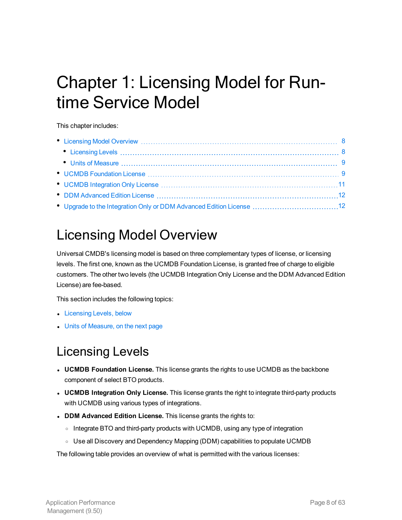# <span id="page-7-0"></span>Chapter 1: Licensing Model for Runtime Service Model

This chapter includes:

| Constitution and Discovery Constitution and Constitution and Constitution and Constitution and Constitution and Constitution and Constitution and Constitution and Constitution and Constitution and Constitution and Constitu |  |
|--------------------------------------------------------------------------------------------------------------------------------------------------------------------------------------------------------------------------------|--|
| Communications and the Communications of the Communications of the Communications of the Communications of the Communications of the Communications of the Communications of the Communications of the Communications of the C |  |
|                                                                                                                                                                                                                                |  |
|                                                                                                                                                                                                                                |  |
|                                                                                                                                                                                                                                |  |
|                                                                                                                                                                                                                                |  |
|                                                                                                                                                                                                                                |  |

# <span id="page-7-1"></span>Licensing Model Overview

Universal CMDB's licensing model is based on three complementary types of license, or licensing levels. The first one, known as the UCMDB Foundation License, is granted free of charge to eligible customers. The other two levels (the UCMDB Integration Only License and the DDM Advanced Edition License) are fee-based.

This section includes the following topics:

- [Licensing](#page-7-2) Levels, below
- <span id="page-7-2"></span>• Units of [Measure,](#page-8-0) on the next page

# Licensing Levels

- **UCMDB Foundation License.** This license grants the rights to use UCMDB as the backbone component of select BTO products.
- **UCMDB Integration Only License.** This license grants the right to integrate third-party products with UCMDB using various types of integrations.
- <sup>l</sup> **DDM Advanced Edition License.** This license grants the rights to:
	- o Integrate BTO and third-party products with UCMDB, using any type of integration
	- o Use all Discovery and Dependency Mapping (DDM) capabilities to populate UCMDB

The following table provides an overview of what is permitted with the various licenses: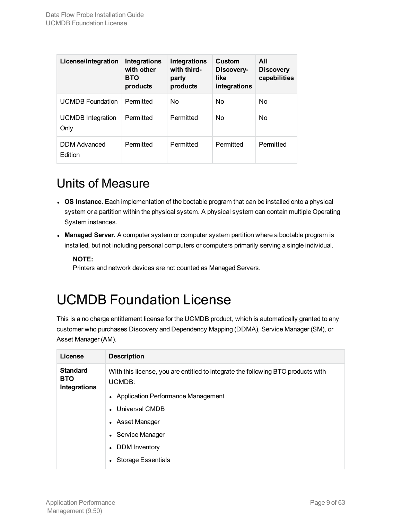| License/Integration              | <b>Integrations</b><br>with other<br><b>BTO</b><br>products | <b>Integrations</b><br>with third-<br>party<br>products | Custom<br>Discovery-<br>like<br>integrations | All<br><b>Discovery</b><br>capabilities |
|----------------------------------|-------------------------------------------------------------|---------------------------------------------------------|----------------------------------------------|-----------------------------------------|
| <b>UCMDB</b> Foundation          | Permitted                                                   | No                                                      | <b>No</b>                                    | No                                      |
| <b>UCMDB</b> Integration<br>Only | Permitted                                                   | Permitted                                               | No                                           | No.                                     |
| <b>DDM</b> Advanced<br>Edition   | Permitted                                                   | Permitted                                               | Permitted                                    | Permitted                               |

### <span id="page-8-0"></span>Units of Measure

- **.** OS Instance. Each implementation of the bootable program that can be installed onto a physical system or a partition within the physical system. A physical system can contain multiple Operating System instances.
- **Managed Server.** A computer system or computer system partition where a bootable program is installed, but not including personal computers or computers primarily serving a single individual.

### **NOTE:**

Printers and network devices are not counted as Managed Servers.

# <span id="page-8-1"></span>UCMDB Foundation License

This is a no charge entitlement license for the UCMDB product, which is automatically granted to any customer who purchases Discovery and Dependency Mapping (DDMA), Service Manager (SM), or Asset Manager (AM).

| License                                              | <b>Description</b>                                                                         |
|------------------------------------------------------|--------------------------------------------------------------------------------------------|
| <b>Standard</b><br><b>BTO</b><br><b>Integrations</b> | With this license, you are entitled to integrate the following BTO products with<br>UCMDB: |
|                                                      | • Application Performance Management                                                       |
|                                                      | • Universal CMDB                                                                           |
|                                                      | • Asset Manager                                                                            |
|                                                      | • Service Manager                                                                          |
|                                                      | DDM Inventory                                                                              |
|                                                      | <b>Storage Essentials</b>                                                                  |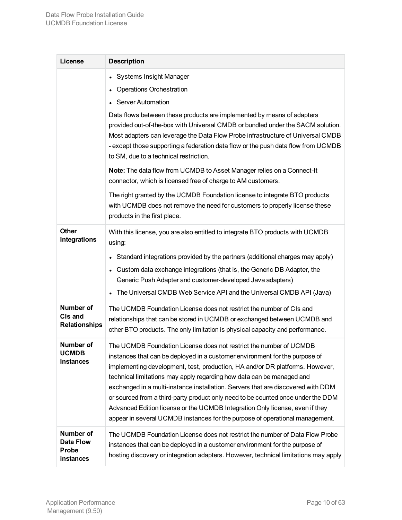| License                                             | <b>Description</b>                                                                                                                                                                                                                                                                                                                                                                                                                                                                                                                                                                                                                                 |
|-----------------------------------------------------|----------------------------------------------------------------------------------------------------------------------------------------------------------------------------------------------------------------------------------------------------------------------------------------------------------------------------------------------------------------------------------------------------------------------------------------------------------------------------------------------------------------------------------------------------------------------------------------------------------------------------------------------------|
|                                                     | <b>Systems Insight Manager</b><br><b>Operations Orchestration</b><br><b>Server Automation</b><br>Data flows between these products are implemented by means of adapters                                                                                                                                                                                                                                                                                                                                                                                                                                                                            |
|                                                     | provided out-of-the-box with Universal CMDB or bundled under the SACM solution.<br>Most adapters can leverage the Data Flow Probe infrastructure of Universal CMDB<br>- except those supporting a federation data flow or the push data flow from UCMDB<br>to SM, due to a technical restriction.                                                                                                                                                                                                                                                                                                                                                  |
|                                                     | Note: The data flow from UCMDB to Asset Manager relies on a Connect-It<br>connector, which is licensed free of charge to AM customers.                                                                                                                                                                                                                                                                                                                                                                                                                                                                                                             |
|                                                     | The right granted by the UCMDB Foundation license to integrate BTO products<br>with UCMDB does not remove the need for customers to properly license these<br>products in the first place.                                                                                                                                                                                                                                                                                                                                                                                                                                                         |
| <b>Other</b><br><b>Integrations</b>                 | With this license, you are also entitled to integrate BTO products with UCMDB<br>using:                                                                                                                                                                                                                                                                                                                                                                                                                                                                                                                                                            |
|                                                     | Standard integrations provided by the partners (additional charges may apply)<br>Custom data exchange integrations (that is, the Generic DB Adapter, the<br>Generic Push Adapter and customer-developed Java adapters)<br>The Universal CMDB Web Service API and the Universal CMDB API (Java)                                                                                                                                                                                                                                                                                                                                                     |
| Number of<br>CIs and<br><b>Relationships</b>        | The UCMDB Foundation License does not restrict the number of CIs and<br>relationships that can be stored in UCMDB or exchanged between UCMDB and<br>other BTO products. The only limitation is physical capacity and performance.                                                                                                                                                                                                                                                                                                                                                                                                                  |
| Number of<br><b>UCMDB</b><br><b>Instances</b>       | The UCMDB Foundation License does not restrict the number of UCMDB<br>instances that can be deployed in a customer environment for the purpose of<br>implementing development, test, production, HA and/or DR platforms. However,<br>technical limitations may apply regarding how data can be managed and<br>exchanged in a multi-instance installation. Servers that are discovered with DDM<br>or sourced from a third-party product only need to be counted once under the DDM<br>Advanced Edition license or the UCMDB Integration Only license, even if they<br>appear in several UCMDB instances for the purpose of operational management. |
| Number of<br><b>Data Flow</b><br>Probe<br>instances | The UCMDB Foundation License does not restrict the number of Data Flow Probe<br>instances that can be deployed in a customer environment for the purpose of<br>hosting discovery or integration adapters. However, technical limitations may apply                                                                                                                                                                                                                                                                                                                                                                                                 |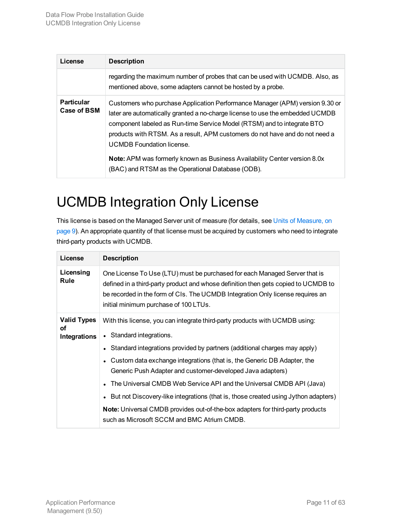| License                          | <b>Description</b>                                                                                                                                                                                                                                                                                                                                           |
|----------------------------------|--------------------------------------------------------------------------------------------------------------------------------------------------------------------------------------------------------------------------------------------------------------------------------------------------------------------------------------------------------------|
|                                  | regarding the maximum number of probes that can be used with UCMDB. Also, as<br>mentioned above, some adapters cannot be hosted by a probe.                                                                                                                                                                                                                  |
| <b>Particular</b><br>Case of BSM | Customers who purchase Application Performance Manager (APM) version 9.30 or<br>later are automatically granted a no-charge license to use the embedded UCMDB<br>component labeled as Run-time Service Model (RTSM) and to integrate BTO<br>products with RTSM. As a result, APM customers do not have and do not need a<br><b>UCMDB</b> Foundation license. |
|                                  | <b>Note:</b> APM was formerly known as Business Availability Center version 8.0x<br>(BAC) and RTSM as the Operational Database (ODB).                                                                                                                                                                                                                        |

# <span id="page-10-0"></span>UCMDB Integration Only License

This license is based on the Managed Server unit of measure (for details, see Units of [Measure,](#page-8-0) on [page](#page-8-0) 9). An appropriate quantity of that license must be acquired by customers who need to integrate third-party products with UCMDB.

| License                           | <b>Description</b>                                                                                                                                                                                                                                                                          |
|-----------------------------------|---------------------------------------------------------------------------------------------------------------------------------------------------------------------------------------------------------------------------------------------------------------------------------------------|
| Licensing<br>Rule                 | One License To Use (LTU) must be purchased for each Managed Server that is<br>defined in a third-party product and whose definition then gets copied to UCMDB to<br>be recorded in the form of CIs. The UCMDB Integration Only license requires an<br>initial minimum purchase of 100 LTUs. |
| Valid Types<br>οf<br>Integrations | With this license, you can integrate third-party products with UCMDB using:<br>• Standard integrations.<br>• Standard integrations provided by partners (additional charges may apply)                                                                                                      |
|                                   | • Custom data exchange integrations (that is, the Generic DB Adapter, the<br>Generic Push Adapter and customer-developed Java adapters)<br>The Universal CMDB Web Service API and the Universal CMDB API (Java)                                                                             |
|                                   | • But not Discovery-like integrations (that is, those created using Jython adapters)<br><b>Note:</b> Universal CMDB provides out-of-the-box adapters for third-party products                                                                                                               |
|                                   | such as Microsoft SCCM and BMC Atrium CMDB.                                                                                                                                                                                                                                                 |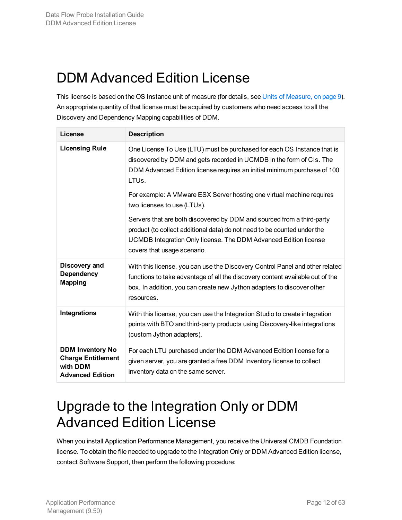# <span id="page-11-0"></span>DDM Advanced Edition License

This license is based on the OS Instance unit of measure (for details, see Units of [Measure,](#page-8-0) on page 9). An appropriate quantity of that license must be acquired by customers who need access to all the Discovery and Dependency Mapping capabilities of DDM.

| License                                                                                     | <b>Description</b>                                                                                                                                                                                                                                    |
|---------------------------------------------------------------------------------------------|-------------------------------------------------------------------------------------------------------------------------------------------------------------------------------------------------------------------------------------------------------|
| <b>Licensing Rule</b>                                                                       | One License To Use (LTU) must be purchased for each OS Instance that is<br>discovered by DDM and gets recorded in UCMDB in the form of CIs. The<br>DDM Advanced Edition license requires an initial minimum purchase of 100<br>LTU <sub>s</sub> .     |
|                                                                                             | For example: A VMware ESX Server hosting one virtual machine requires<br>two licenses to use (LTUs).                                                                                                                                                  |
|                                                                                             | Servers that are both discovered by DDM and sourced from a third-party<br>product (to collect additional data) do not need to be counted under the<br>UCMDB Integration Only license. The DDM Advanced Edition license<br>covers that usage scenario. |
| Discovery and<br><b>Dependency</b><br><b>Mapping</b>                                        | With this license, you can use the Discovery Control Panel and other related<br>functions to take advantage of all the discovery content available out of the<br>box. In addition, you can create new Jython adapters to discover other<br>resources. |
| Integrations                                                                                | With this license, you can use the Integration Studio to create integration<br>points with BTO and third-party products using Discovery-like integrations<br>(custom Jython adapters).                                                                |
| <b>DDM Inventory No</b><br><b>Charge Entitlement</b><br>with DDM<br><b>Advanced Edition</b> | For each LTU purchased under the DDM Advanced Edition license for a<br>given server, you are granted a free DDM Inventory license to collect<br>inventory data on the same server.                                                                    |

# <span id="page-11-1"></span>Upgrade to the Integration Only or DDM Advanced Edition License

When you install Application Performance Management, you receive the Universal CMDB Foundation license. To obtain the file needed to upgrade to the Integration Only or DDM Advanced Edition license, contact Software Support, then perform the following procedure: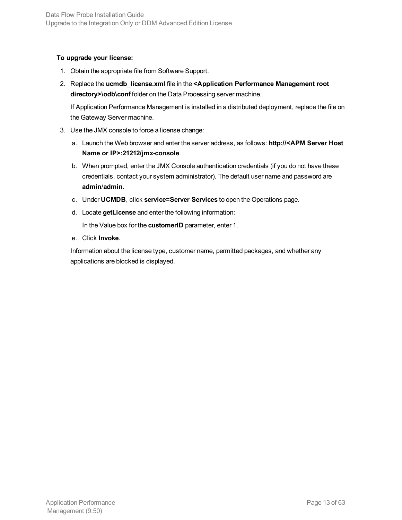### **To upgrade your license:**

- 1. Obtain the appropriate file from Software Support.
- 2. Replace the **ucmdb\_license.xml** file in the **<Application Performance Management root directory>\odb\conf** folder on the Data Processing server machine.

If Application Performance Management is installed in a distributed deployment, replace the file on the Gateway Server machine.

- 3. Use the JMX console to force a license change:
	- a. Launch the Web browser and enter the server address, as follows: **http://<APM Server Host Name or IP>:21212/jmx-console**.
	- b. When prompted, enter the JMX Console authentication credentials (if you do not have these credentials, contact your system administrator). The default user name and password are **admin**/**admin**.
	- c. Under **UCMDB**, click **service=Server Services** to open the Operations page.
	- d. Locate **getLicense** and enter the following information:

In the Value box for the **customerID** parameter, enter 1.

e. Click **Invoke**.

Information about the license type, customer name, permitted packages, and whether any applications are blocked is displayed.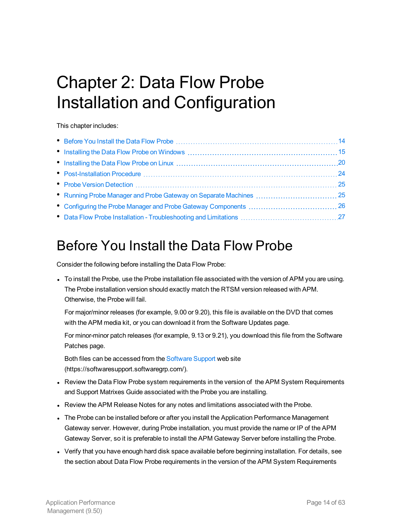# <span id="page-13-0"></span>Chapter 2: Data Flow Probe Installation and Configuration

This chapter includes:

# <span id="page-13-1"></span>Before You Install the Data Flow Probe

Consider the following before installing the Data Flow Probe:

• To install the Probe, use the Probe installation file associated with the version of APM you are using. The Probe installation version should exactly match the RTSM version released with APM. Otherwise, the Probe will fail.

For major/minor releases (for example, 9.00 or 9.20), this file is available on the DVD that comes with the APM media kit, or you can download it from the Software Updates page.

For minor-minor patch releases (for example, 9.13 or 9.21), you download this file from the Software Patches page.

Both files can be accessed from the [Software](https://softwaresupport.softwaregrp.com/) Support web site (https://softwaresupport.softwaregrp.com/).

- Review the Data Flow Probe system requirements in the version of the APM System Requirements and Support Matrixes Guide associated with the Probe you are installing.
- Review the APM Release Notes for any notes and limitations associated with the Probe.
- The Probe can be installed before or after you install the Application Performance Management Gateway server. However, during Probe installation, you must provide the name or IP of the APM Gateway Server, so it is preferable to install the APM Gateway Server before installing the Probe.
- Verify that you have enough hard disk space available before beginning installation. For details, see the section about Data Flow Probe requirements in the version of the APM System Requirements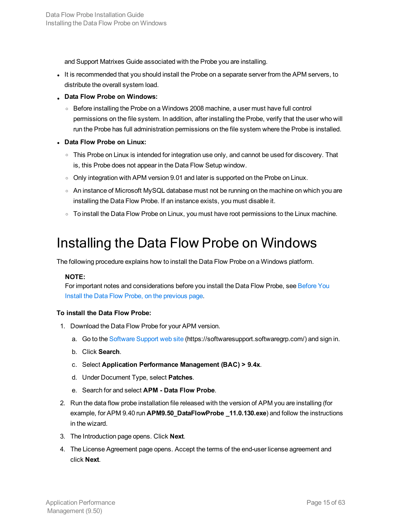and Support Matrixes Guide associated with the Probe you are installing.

- It is recommended that you should install the Probe on a separate server from the APM servers, to distribute the overall system load.
- <sup>l</sup> **Data Flow Probe on Windows:**
	- Before installing the Probe on a Windows 2008 machine, a user must have full control permissions on the file system. In addition, after installing the Probe, verify that the user who will run the Probe has full administration permissions on the file system where the Probe is installed.
- <sup>l</sup> **Data Flow Probe on Linux:**
	- This Probe on Linux is intended for integration use only, and cannot be used for discovery. That is, this Probe does not appear in the Data Flow Setup window.
	- $\circ$  Only integration with APM version 9.01 and later is supported on the Probe on Linux.
	- An instance of Microsoft MySQL database must not be running on the machine on which you are installing the Data Flow Probe. If an instance exists, you must disable it.
	- $\circ$  To install the Data Flow Probe on Linux, you must have root permissions to the Linux machine.

### <span id="page-14-0"></span>Installing the Data Flow Probe on Windows

The following procedure explains how to install the Data Flow Probe on a Windows platform.

### **NOTE:**

For important notes and considerations before you install the Data Flow Probe, see [Before](#page-13-1) You Install the Data Flow Probe, on the [previous](#page-13-1) page.

### **To install the Data Flow Probe:**

- 1. Download the Data Flow Probe for your APM version.
	- a. Go to the [Software](https://softwaresupport.softwaregrp.com/) Support web site (https://softwaresupport.softwaregrp.com/) and sign in.
	- b. Click **Search**.
	- c. Select **Application Performance Management (BAC) > 9.4x**.
	- d. Under Document Type, select **Patches**.
	- e. Search for and select **APM - Data Flow Probe**.
- 2. Run the data flow probe installation file released with the version of APM you are installing (for example, for APM 9.40 run **APM9.50\_DataFlowProbe \_11.0.130.exe**) and follow the instructions in the wizard.
- 3. The Introduction page opens. Click **Next**.
- 4. The License Agreement page opens. Accept the terms of the end-user license agreement and click **Next**.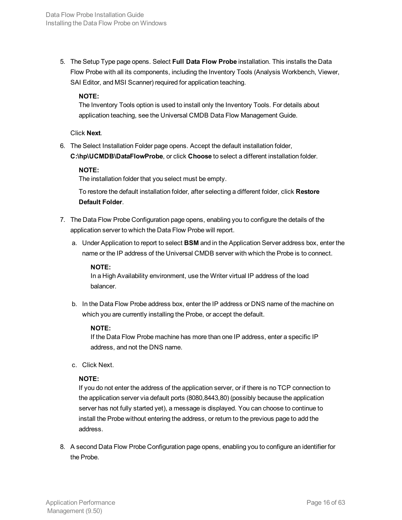5. The Setup Type page opens. Select **Full Data Flow Probe** installation. This installs the Data Flow Probe with all its components, including the Inventory Tools (Analysis Workbench, Viewer, SAI Editor, and MSI Scanner) required for application teaching.

### **NOTE:**

The Inventory Tools option is used to install only the Inventory Tools. For details about application teaching, see the Universal CMDB Data Flow Management Guide.

### Click **Next**.

6. The Select Installation Folder page opens. Accept the default installation folder, **C:\hp\UCMDB\DataFlowProbe**, or click **Choose** to select a different installation folder.

### **NOTE:**

The installation folder that you select must be empty.

To restore the default installation folder, after selecting a different folder, click **Restore Default Folder**.

- 7. The Data Flow Probe Configuration page opens, enabling you to configure the details of the application server to which the Data Flow Probe will report.
	- a. Under Application to report to select **BSM** and in the Application Server address box, enter the name or the IP address of the Universal CMDB server with which the Probe is to connect.

### **NOTE:**

In a High Availability environment, use the Writer virtual IP address of the load balancer.

b. In the Data Flow Probe address box, enter the IP address or DNS name of the machine on which you are currently installing the Probe, or accept the default.

### **NOTE:**

If the Data Flow Probe machine has more than one IP address, enter a specific IP address, and not the DNS name.

c. Click Next.

### **NOTE:**

If you do not enter the address of the application server, or if there is no TCP connection to the application server via default ports (8080,8443,80) (possibly because the application server has not fully started yet), a message is displayed. You can choose to continue to install the Probe without entering the address, or return to the previous page to add the address.

8. A second Data Flow Probe Configuration page opens, enabling you to configure an identifier for the Probe.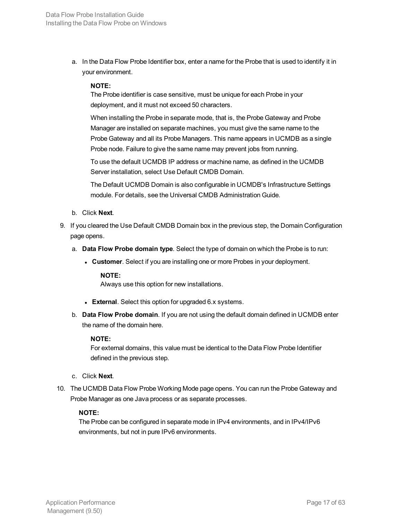a. In the Data Flow Probe Identifier box, enter a name for the Probe that is used to identify it in your environment.

### **NOTE:**

The Probe identifier is case sensitive, must be unique for each Probe in your deployment, and it must not exceed 50 characters.

When installing the Probe in separate mode, that is, the Probe Gateway and Probe Manager are installed on separate machines, you must give the same name to the Probe Gateway and all its Probe Managers. This name appears in UCMDB as a single Probe node. Failure to give the same name may prevent jobs from running.

To use the default UCMDB IP address or machine name, as defined in the UCMDB Server installation, select Use Default CMDB Domain.

The Default UCMDB Domain is also configurable in UCMDB's Infrastructure Settings module. For details, see the Universal CMDB Administration Guide.

- b. Click **Next**.
- 9. If you cleared the Use Default CMDB Domain box in the previous step, the Domain Configuration page opens.
	- a. **Data Flow Probe domain type**. Select the type of domain on which the Probe is to run:
		- **Customer**. Select if you are installing one or more Probes in your deployment.

#### **NOTE:**

Always use this option for new installations.

- **External**. Select this option for upgraded 6.x systems.
- b. **Data Flow Probe domain**. If you are not using the default domain defined in UCMDB enter the name of the domain here.

#### **NOTE:**

For external domains, this value must be identical to the Data Flow Probe Identifier defined in the previous step.

- c. Click **Next**.
- 10. The UCMDB Data Flow Probe Working Mode page opens. You can run the Probe Gateway and Probe Manager as one Java process or as separate processes.

### **NOTE:**

The Probe can be configured in separate mode in IPv4 environments, and in IPv4/IPv6 environments, but not in pure IPv6 environments.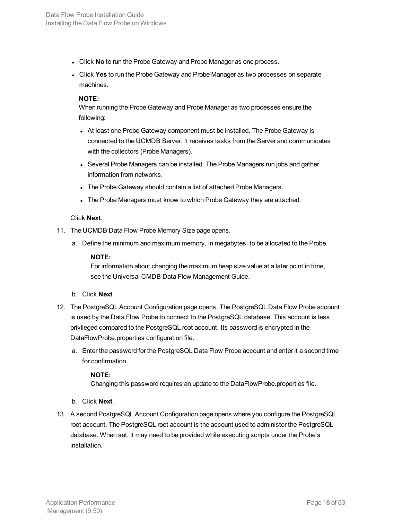- **.** Click **No** to run the Probe Gateway and Probe Manager as one process.
- <sup>l</sup> Click **Yes** to run the Probe Gateway and Probe Manager as two processes on separate machines.

When running the Probe Gateway and Probe Manager as two processes ensure the following:

- At least one Probe Gateway component must be installed. The Probe Gateway is connected to the UCMDB Server. It receives tasks from the Server and communicates with the collectors (Probe Managers).
- Several Probe Managers can be installed. The Probe Managers run jobs and gather information from networks.
- The Probe Gateway should contain a list of attached Probe Managers.
- The Probe Managers must know to which Probe Gateway they are attached.

### Click **Next**.

- 11. The UCMDB Data Flow Probe Memory Size page opens.
	- a. Define the minimum and maximum memory, in megabytes, to be allocated to the Probe.

### **NOTE:**

For information about changing the maximum heap size value at a later point in time, see the Universal CMDB Data Flow Management Guide.

### b. Click **Next**.

- 12. The PostgreSQL Account Configuration page opens. The PostgreSQL Data Flow Probe account is used by the Data Flow Probe to connect to the PostgreSQL database. This account is less privileged compared to the PostgreSQL root account. Its password is encrypted in the DataFlowProbe.properties configuration file.
	- a. Enter the password for the PostgreSQL Data Flow Probe account and enter it a second time for confirmation.

### **NOTE:**

Changing this password requires an update to the DataFlowProbe.properties file.

- b. Click **Next**.
- 13. A second PostgreSQL Account Configuration page opens where you configure the PostgreSQL root account. The PostgreSQL root account is the account used to administer the PostgreSQL database. When set, it may need to be provided while executing scripts under the Probe's installation.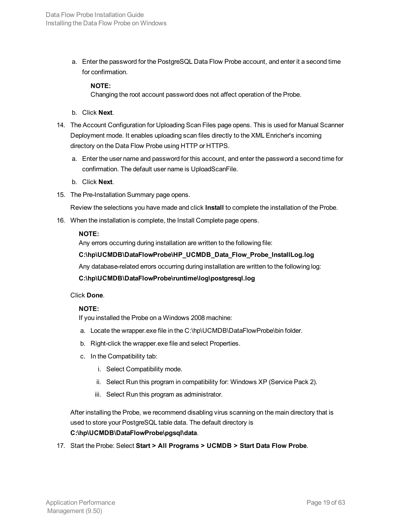a. Enter the password for the PostgreSQL Data Flow Probe account, and enter it a second time for confirmation.

### **NOTE:**

Changing the root account password does not affect operation of the Probe.

- b. Click **Next**.
- 14. The Account Configuration for Uploading Scan Files page opens. This is used for Manual Scanner Deployment mode. It enables uploading scan files directly to the XML Enricher's incoming directory on the Data Flow Probe using HTTP or HTTPS.
	- a. Enter the user name and password for this account, and enter the password a second time for confirmation. The default user name is UploadScanFile.
	- b. Click **Next**.
- 15. The Pre-Installation Summary page opens.

Review the selections you have made and click **Install** to complete the installation of the Probe.

16. When the installation is complete, the Install Complete page opens.

#### **NOTE:**

Any errors occurring during installation are written to the following file:

### **C:\hp\UCMDB\DataFlowProbe\HP\_UCMDB\_Data\_Flow\_Probe\_InstallLog.log**

Any database-related errors occurring during installation are written to the following log:

#### **C:\hp\UCMDB\DataFlowProbe\runtime\log\postgresql.log**

Click **Done**.

### **NOTE:**

If you installed the Probe on a Windows 2008 machine:

- a. Locate the wrapper.exe file in the C:\hp\UCMDB\DataFlowProbe\bin folder.
- b. Right-click the wrapper.exe file and select Properties.
- c. In the Compatibility tab:
	- i. Select Compatibility mode.
	- ii. Select Run this program in compatibility for: Windows XP (Service Pack 2).
	- iii. Select Run this program as administrator.

After installing the Probe, we recommend disabling virus scanning on the main directory that is used to store your PostgreSQL table data. The default directory is **C:\hp\UCMDB\DataFlowProbe\pgsql\data**.

17. Start the Probe: Select **Start > All Programs > UCMDB > Start Data Flow Probe**.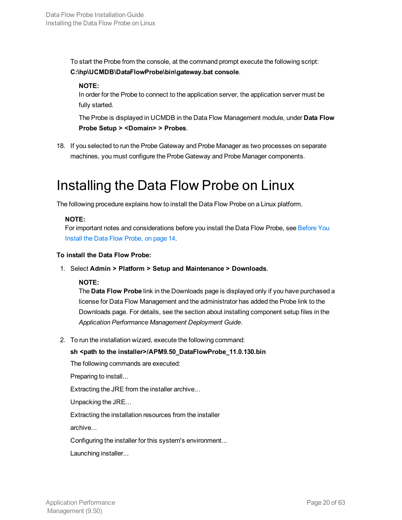To start the Probe from the console, at the command prompt execute the following script: **C:\hp\UCMDB\DataFlowProbe\bin\gateway.bat console**.

### **NOTE:**

In order for the Probe to connect to the application server, the application server must be fully started.

The Probe is displayed in UCMDB in the Data Flow Management module, under **Data Flow Probe Setup > <Domain> > Probes**.

18. If you selected to run the Probe Gateway and Probe Manager as two processes on separate machines, you must configure the Probe Gateway and Probe Manager components.

# <span id="page-19-0"></span>Installing the Data Flow Probe on Linux

The following procedure explains how to install the Data Flow Probe on a Linux platform.

### **NOTE:**

For important notes and considerations before you install the Data Flow Probe, see [Before](#page-13-1) You Install the Data Flow [Probe,](#page-13-1) on page 14.

### **To install the Data Flow Probe:**

1. Select **Admin > Platform > Setup and Maintenance > Downloads**.

### **NOTE:**

The **Data Flow Probe** link in the Downloads page is displayed only if you have purchased a license for Data Flow Management and the administrator has added the Probe link to the Downloads page. For details, see the section about installing component setup files in the *Application Performance Management Deployment Guide*.

2. To run the installation wizard, execute the following command:

### **sh <path to the installer>/APM9.50\_DataFlowProbe\_11.0.130.bin**

The following commands are executed:

Preparing to install...

Extracting the JRE from the installer archive...

Unpacking the JRE...

Extracting the installation resources from the installer

archive...

Configuring the installer for this system's environment...

Launching installer...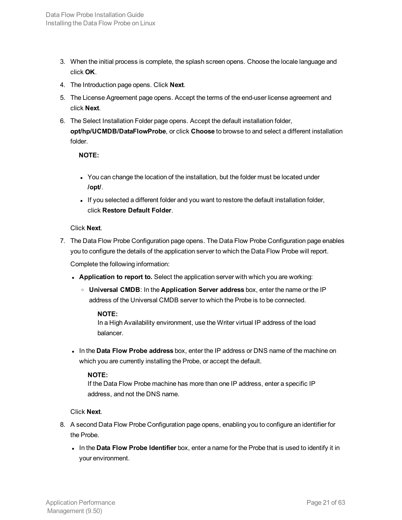- 3. When the initial process is complete, the splash screen opens. Choose the locale language and click **OK**.
- 4. The Introduction page opens. Click **Next**.
- 5. The License Agreement page opens. Accept the terms of the end-user license agreement and click **Next**.
- 6. The Select Installation Folder page opens. Accept the default installation folder, **opt/hp/UCMDB/DataFlowProbe**, or click **Choose** to browse to and select a different installation folder.

- You can change the location of the installation, but the folder must be located under **/opt/**.
- If you selected a different folder and you want to restore the default installation folder, click **Restore Default Folder**.

Click **Next**.

- 7. The Data Flow Probe Configuration page opens. The Data Flow Probe Configuration page enables you to configure the details of the application server to which the Data Flow Probe will report. Complete the following information:
	- <sup>l</sup> **Application to report to.** Select the application server with which you are working:
		- <sup>o</sup> **Universal CMDB**: In the **Application Server address** box, enter the name or the IP address of the Universal CMDB server to which the Probe is to be connected.

### **NOTE:**

In a High Availability environment, use the Writer virtual IP address of the load balancer.

**.** In the Data Flow Probe address box, enter the IP address or DNS name of the machine on which you are currently installing the Probe, or accept the default.

### **NOTE:**

If the Data Flow Probe machine has more than one IP address, enter a specific IP address, and not the DNS name.

### Click **Next**.

- 8. A second Data Flow Probe Configuration page opens, enabling you to configure an identifier for the Probe.
	- **.** In the Data Flow Probe Identifier box, enter a name for the Probe that is used to identify it in your environment.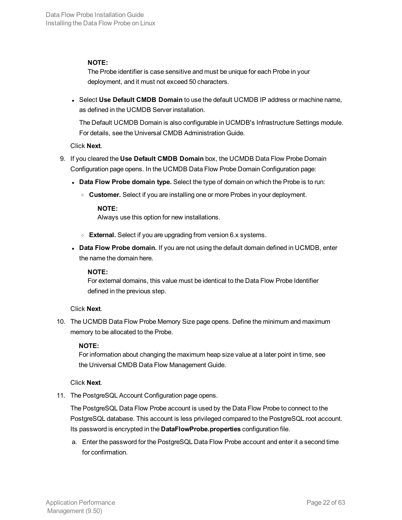The Probe identifier is case sensitive and must be unique for each Probe in your deployment, and it must not exceed 50 characters.

<sup>l</sup> Select **Use Default CMDB Domain** to use the default UCMDB IP address or machine name, as defined in the UCMDB Server installation.

The Default UCMDB Domain is also configurable in UCMDB's Infrastructure Settings module. For details, see the Universal CMDB Administration Guide.

Click **Next**.

- 9. If you cleared the **Use Default CMDB Domain** box, the UCMDB Data Flow Probe Domain Configuration page opens. In the UCMDB Data Flow Probe Domain Configuration page:
	- **Data Flow Probe domain type.** Select the type of domain on which the Probe is to run:
		- <sup>o</sup> **Customer.** Select if you are installing one or more Probes in your deployment.

### **NOTE:**

Always use this option for new installations.

- <sup>o</sup> **External.** Select if you are upgrading from version 6.x systems.
- <sup>l</sup> **Data Flow Probe domain.** If you are not using the default domain defined in UCMDB, enter the name the domain here.

### **NOTE:**

For external domains, this value must be identical to the Data Flow Probe Identifier defined in the previous step.

### Click **Next**.

10. The UCMDB Data Flow Probe Memory Size page opens. Define the minimum and maximum memory to be allocated to the Probe.

### **NOTE:**

For information about changing the maximum heap size value at a later point in time, see the Universal CMDB Data Flow Management Guide.

### Click **Next**.

11. The PostgreSQL Account Configuration page opens.

The PostgreSQL Data Flow Probe account is used by the Data Flow Probe to connect to the PostgreSQL database. This account is less privileged compared to the PostgreSQL root account. Its password is encrypted in the **DataFlowProbe.properties** configuration file.

a. Enter the password for the PostgreSQL Data Flow Probe account and enter it a second time for confirmation.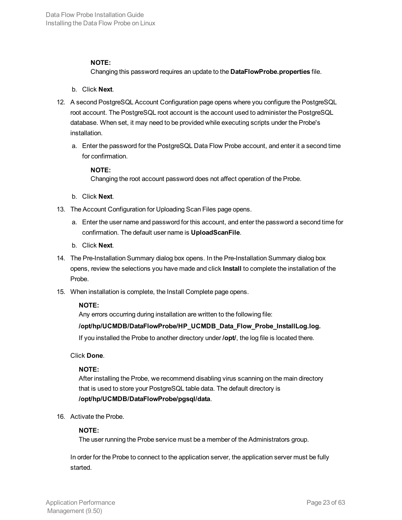Changing this password requires an update to the **DataFlowProbe.properties** file.

- b. Click **Next**.
- 12. A second PostgreSQL Account Configuration page opens where you configure the PostgreSQL root account. The PostgreSQL root account is the account used to administer the PostgreSQL database. When set, it may need to be provided while executing scripts under the Probe's installation.
	- a. Enter the password for the PostgreSQL Data Flow Probe account, and enter it a second time for confirmation.

### **NOTE:**

Changing the root account password does not affect operation of the Probe.

- b. Click **Next**.
- 13. The Account Configuration for Uploading Scan Files page opens.
	- a. Enter the user name and password for this account, and enter the password a second time for confirmation. The default user name is **UploadScanFile**.
	- b. Click **Next**.
- 14. The Pre-Installation Summary dialog box opens. In the Pre-Installation Summary dialog box opens, review the selections you have made and click **Install** to complete the installation of the Probe.
- 15. When installation is complete, the Install Complete page opens.

### **NOTE:**

Any errors occurring during installation are written to the following file:

### **/opt/hp/UCMDB/DataFlowProbe/HP\_UCMDB\_Data\_Flow\_Probe\_InstallLog.log.**

If you installed the Probe to another directory under **/opt/**, the log file is located there.

### Click **Done**.

### **NOTE:**

After installing the Probe, we recommend disabling virus scanning on the main directory that is used to store your PostgreSQL table data. The default directory is **/opt/hp/UCMDB/DataFlowProbe/pgsql/data**.

16. Activate the Probe.

### **NOTE:**

The user running the Probe service must be a member of the Administrators group.

In order for the Probe to connect to the application server, the application server must be fully started.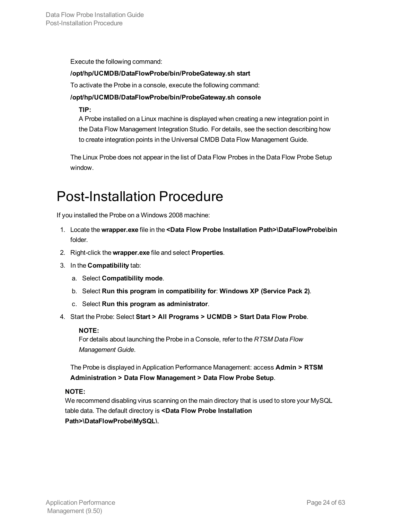Execute the following command:

### **/opt/hp/UCMDB/DataFlowProbe/bin/ProbeGateway.sh start**

To activate the Probe in a console, execute the following command:

### **/opt/hp/UCMDB/DataFlowProbe/bin/ProbeGateway.sh console**

### **TIP:**

A Probe installed on a Linux machine is displayed when creating a new integration point in the Data Flow Management Integration Studio. For details, see the section describing how to create integration points in the Universal CMDB Data Flow Management Guide.

The Linux Probe does not appear in the list of Data Flow Probes in the Data Flow Probe Setup window.

### <span id="page-23-0"></span>Post-Installation Procedure

If you installed the Probe on a Windows 2008 machine:

- 1. Locate the **wrapper.exe** file in the **<Data Flow Probe Installation Path>\DataFlowProbe\bin** folder.
- 2. Right-click the **wrapper.exe** file and select **Properties**.
- 3. In the **Compatibility** tab:
	- a. Select **Compatibility mode**.
	- b. Select **Run this program in compatibility for**: **Windows XP (Service Pack 2)**.
	- c. Select **Run this program as administrator**.
- 4. Start the Probe: Select **Start > All Programs > UCMDB > Start Data Flow Probe**.

### **NOTE:**

For details about launching the Probe in a Console, refer to the *RTSM Data Flow Management Guide*.

The Probe is displayed in Application Performance Management: access **Admin > RTSM Administration > Data Flow Management > Data Flow Probe Setup**.

### **NOTE:**

We recommend disabling virus scanning on the main directory that is used to store your MySQL table data. The default directory is **<Data Flow Probe Installation Path>\DataFlowProbe\MySQL\**.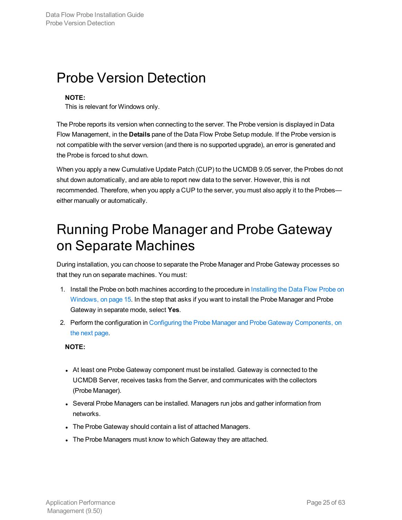### <span id="page-24-0"></span>Probe Version Detection

### **NOTE:**

This is relevant for Windows only.

The Probe reports its version when connecting to the server. The Probe version is displayed in Data Flow Management, in the **Details** pane of the Data Flow Probe Setup module. If the Probe version is not compatible with the server version (and there is no supported upgrade), an error is generated and the Probe is forced to shut down.

When you apply a new Cumulative Update Patch (CUP) to the UCMDB 9.05 server, the Probes do not shut down automatically, and are able to report new data to the server. However, this is not recommended. Therefore, when you apply a CUP to the server, you must also apply it to the Probes either manually or automatically.

# <span id="page-24-1"></span>Running Probe Manager and Probe Gateway on Separate Machines

During installation, you can choose to separate the Probe Manager and Probe Gateway processes so that they run on separate machines. You must:

- 1. Install the Probe on both machines according to the procedure in [Installing](#page-14-0) the Data Flow Probe on [Windows,](#page-14-0) on page 15. In the step that asks if you want to install the Probe Manager and Probe Gateway in separate mode, select **Yes**.
- 2. Perform the configuration in Configuring the Probe Manager and Probe Gateway [Components,](#page-25-0) on the next [page](#page-25-0).

### **NOTE:**

- At least one Probe Gateway component must be installed. Gateway is connected to the UCMDB Server, receives tasks from the Server, and communicates with the collectors (Probe Manager).
- Several Probe Managers can be installed. Managers run jobs and gather information from networks.
- The Probe Gateway should contain a list of attached Managers.
- The Probe Managers must know to which Gateway they are attached.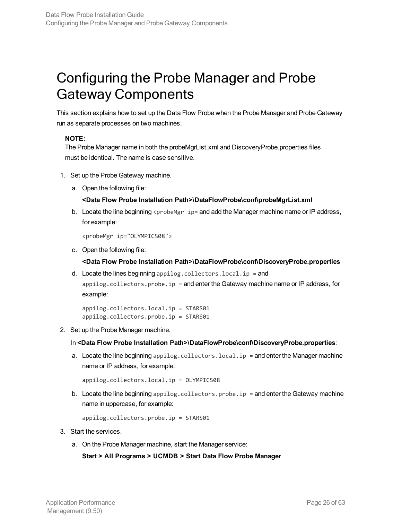# <span id="page-25-0"></span>Configuring the Probe Manager and Probe Gateway Components

This section explains how to set up the Data Flow Probe when the Probe Manager and Probe Gateway run as separate processes on two machines.

### **NOTE:**

The Probe Manager name in both the probeMgrList.xml and DiscoveryProbe.properties files must be identical. The name is case sensitive.

- 1. Set up the Probe Gateway machine.
	- a. Open the following file:

### **<Data Flow Probe Installation Path>\DataFlowProbe\conf\probeMgrList.xml**

b. Locate the line beginning  $\epsilon$  probe Mgr  $ip=$  and add the Manager machine name or IP address, for example:

```
<probeMgr ip="OLYMPICS08">
```
c. Open the following file:

#### **<Data Flow Probe Installation Path>\DataFlowProbe\conf\DiscoveryProbe.properties**

d. Locate the lines beginning appilog.collectors.local.ip = and appilog.collectors.probe.ip = and enter the Gateway machine name or IP address, for

example:

```
appilog.collectors.local.ip = STARS01
appilog.collectors.probe.ip = STARS01
```
2. Set up the Probe Manager machine.

In **<Data Flow Probe Installation Path>\DataFlowProbe\conf\DiscoveryProbe.properties**:

a. Locate the line beginning  $appliedg.collectors.local.jp = and enter the Manager machine$ name or IP address, for example:

```
appilog.collectors.local.ip = OLYMPICS08
```
b. Locate the line beginning  $appliedg.collectors.probe.i p =$  and enter the Gateway machine name in uppercase, for example:

```
appilog.collectors.probe.ip = STARS01
```
- 3. Start the services.
	- a. On the Probe Manager machine, start the Manager service:

**Start > All Programs > UCMDB > Start Data Flow Probe Manager**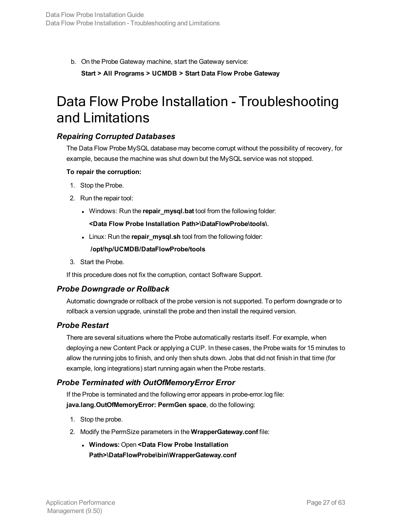b. On the Probe Gateway machine, start the Gateway service: **Start > All Programs > UCMDB > Start Data Flow Probe Gateway**

### <span id="page-26-0"></span>Data Flow Probe Installation - Troubleshooting and Limitations

### *Repairing Corrupted Databases*

The Data Flow Probe MySQL database may become corrupt without the possibility of recovery, for example, because the machine was shut down but the MySQL service was not stopped.

### **To repair the corruption:**

- 1. Stop the Probe.
- 2. Run the repair tool:
	- **Windows: Run the repair\_mysql.bat tool from the following folder:**

### **<Data Flow Probe Installation Path>\DataFlowProbe\tools\**.

**.** Linux: Run the **repair\_mysql.sh** tool from the following folder:

### **/opt/hp/UCMDB/DataFlowProbe/tools**

3. Start the Probe.

If this procedure does not fix the corruption, contact Software Support.

### *Probe Downgrade or Rollback*

Automatic downgrade or rollback of the probe version is not supported. To perform downgrade or to rollback a version upgrade, uninstall the probe and then install the required version.

### *Probe Restart*

There are several situations where the Probe automatically restarts itself. For example, when deploying a new Content Pack or applying a CUP. In these cases, the Probe waits for 15 minutes to allow the running jobs to finish, and only then shuts down. Jobs that did not finish in that time (for example, long integrations) start running again when the Probe restarts.

### *Probe Terminated with OutOfMemoryError Error*

If the Probe is terminated and the following error appears in probe-error.log file: **java.lang.OutOfMemoryError: PermGen space**, do the following:

- 1. Stop the probe.
- 2. Modify the PermSize parameters in the **WrapperGateway.conf** file:
	- <sup>l</sup> **Windows:** Open **<Data Flow Probe Installation Path>\DataFlowProbe\bin\WrapperGateway.conf**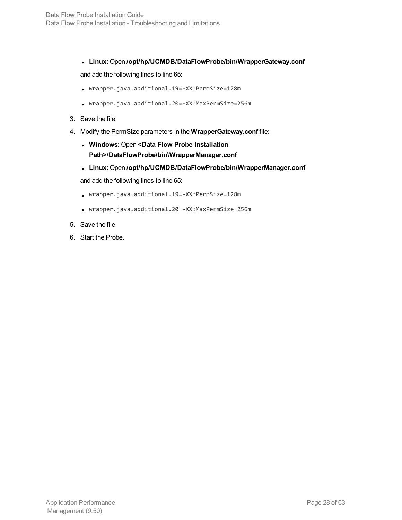<sup>l</sup> **Linux:** Open **/opt/hp/UCMDB/DataFlowProbe/bin/WrapperGateway.conf**

and add the following lines to line 65:

- <sup>l</sup> wrapper.java.additional.19=-XX:PermSize=128m
- <sup>l</sup> wrapper.java.additional.20=-XX:MaxPermSize=256m
- 3. Save the file.
- 4. Modify the PermSize parameters in the **WrapperGateway.conf** file:
	- <sup>l</sup> **Windows:** Open **<Data Flow Probe Installation Path>\DataFlowProbe\bin\WrapperManager.conf**
	- <sup>l</sup> **Linux:** Open **/opt/hp/UCMDB/DataFlowProbe/bin/WrapperManager.conf** and add the following lines to line 65:
	- <sup>l</sup> wrapper.java.additional.19=-XX:PermSize=128m
	- <sup>l</sup> wrapper.java.additional.20=-XX:MaxPermSize=256m
- 5. Save the file.
- 6. Start the Probe.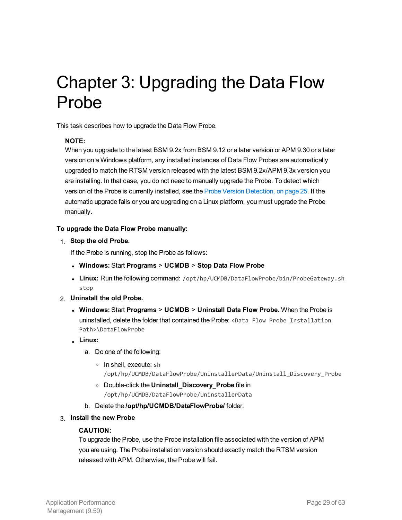# <span id="page-28-0"></span>Chapter 3: Upgrading the Data Flow Probe

This task describes how to upgrade the Data Flow Probe.

### **NOTE:**

When you upgrade to the latest BSM 9.2x from BSM 9.12 or a later version or APM 9.30 or a later version on a Windows platform, any installed instances of Data Flow Probes are automatically upgraded to match the RTSM version released with the latest BSM 9.2x/APM 9.3x version you are installing. In that case, you do not need to manually upgrade the Probe. To detect which version of the Probe is currently installed, see the Probe Version [Detection,](#page-24-0) on page 25. If the automatic upgrade fails or you are upgrading on a Linux platform, you must upgrade the Probe manually.

### **To upgrade the Data Flow Probe manually:**

1. **Stop the old Probe.**

If the Probe is running, stop the Probe as follows:

- <sup>l</sup> **Windows:** Start **Programs** > **UCMDB** > **Stop Data Flow Probe**
- Linux: Run the following command: /opt/hp/UCMDB/DataFlowProbe/bin/ProbeGateway.sh stop
- 2. **Uninstall the old Probe.**
	- <sup>l</sup> **Windows:** Start **Programs** > **UCMDB** > **Uninstall Data Flow Probe**. When the Probe is uninstalled, delete the folder that contained the Probe: <Data Flow Probe Installation Path>\DataFlowProbe
	- <sup>l</sup> **Linux:**
		- a. Do one of the following:
			- <sup>o</sup> In shell, execute: sh /opt/hp/UCMDB/DataFlowProbe/UninstallerData/Uninstall\_Discovery\_Probe
			- <sup>o</sup> Double-click the **Uninstall\_Discovery\_Probe** file in
				- /opt/hp/UCMDB/DataFlowProbe/UninstallerData
		- b. Delete the **/opt/hp/UCMDB/DataFlowProbe/** folder.
- 3. **Install the new Probe**

#### **CAUTION:**

To upgrade the Probe, use the Probe installation file associated with the version of APM you are using. The Probe installation version should exactly match the RTSM version released with APM. Otherwise, the Probe will fail.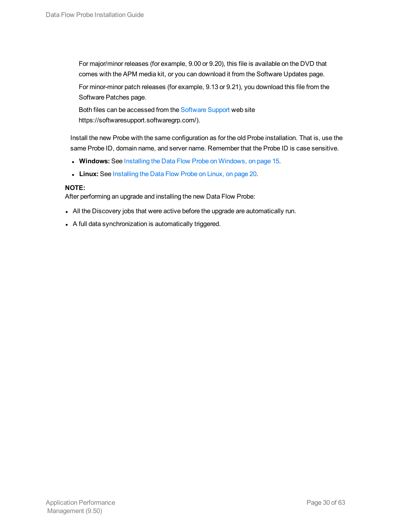For major/minor releases (for example, 9.00 or 9.20), this file is available on the DVD that comes with the APM media kit, or you can download it from the Software Updates page.

For minor-minor patch releases (for example, 9.13 or 9.21), you download this file from the Software Patches page.

Both files can be accessed from the [Software](https://softwaresupport.softwaregrp.com/) Support web site https://softwaresupport.softwaregrp.com/).

Install the new Probe with the same configuration as for the old Probe installation. That is, use the same Probe ID, domain name, and server name. Remember that the Probe ID is case sensitive.

- **Windows:** See Installing the Data Flow Probe on [Windows,](#page-14-0) on page 15.
- **Linux:** See [Installing](#page-19-0) the Data Flow Probe on Linux, on page 20.

### **NOTE:**

After performing an upgrade and installing the new Data Flow Probe:

- All the Discovery jobs that were active before the upgrade are automatically run.
- A full data synchronization is automatically triggered.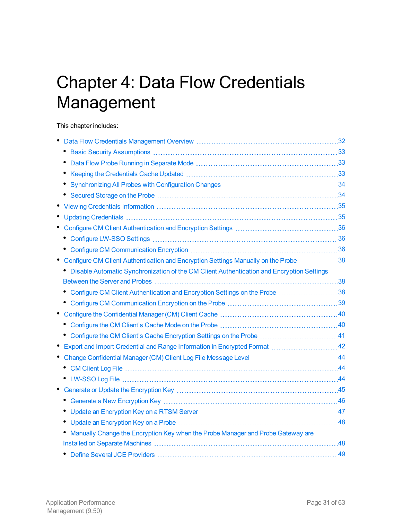# <span id="page-30-0"></span>Chapter 4: Data Flow Credentials Management

This chapter includes:

| ٠                                                                                         |    |
|-------------------------------------------------------------------------------------------|----|
|                                                                                           |    |
| ٠                                                                                         |    |
|                                                                                           |    |
|                                                                                           |    |
|                                                                                           |    |
|                                                                                           |    |
|                                                                                           |    |
|                                                                                           |    |
|                                                                                           |    |
| Configure CM Client Authentication and Encryption Settings Manually on the Probe 38       |    |
| Disable Automatic Synchronization of the CM Client Authentication and Encryption Settings |    |
|                                                                                           |    |
| • Configure CM Client Authentication and Encryption Settings on the Probe 38              |    |
|                                                                                           |    |
|                                                                                           |    |
| ٠                                                                                         |    |
| • Configure the CM Client's Cache Encryption Settings on the Probe 41                     |    |
| Export and Import Credential and Range Information in Encrypted Format  42                |    |
| Change Confidential Manager (CM) Client Log File Message Level 44                         |    |
| ٠                                                                                         |    |
|                                                                                           |    |
|                                                                                           |    |
|                                                                                           |    |
|                                                                                           |    |
|                                                                                           |    |
| Manually Change the Encryption Key when the Probe Manager and Probe Gateway are           |    |
|                                                                                           |    |
|                                                                                           | 49 |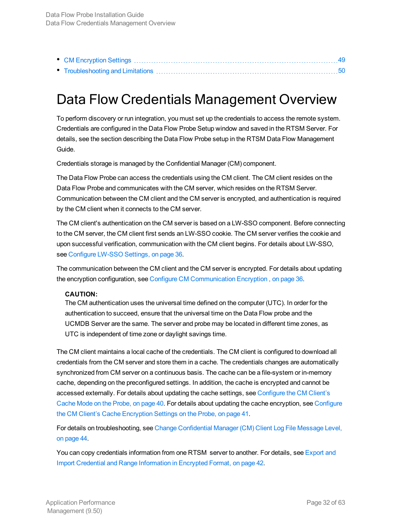### <span id="page-31-0"></span>Data Flow Credentials Management Overview

To perform discovery or run integration, you must set up the credentials to access the remote system. Credentials are configured in the Data Flow Probe Setup window and saved in the RTSM Server. For details, see the section describing the Data Flow Probe setup in the RTSM Data Flow Management Guide.

Credentials storage is managed by the Confidential Manager (CM) component.

The Data Flow Probe can access the credentials using the CM client. The CM client resides on the Data Flow Probe and communicates with the CM server, which resides on the RTSM Server. Communication between the CM client and the CM server is encrypted, and authentication is required by the CM client when it connects to the CM server.

The CM client's authentication on the CM server is based on a LW-SSO component. Before connecting to the CM server, the CM client first sends an LW-SSO cookie. The CM server verifies the cookie and upon successful verification, communication with the CM client begins. For details about LW-SSO, see [Configure](#page-35-1) LW-SSO Settings, on page 36.

The communication between the CM client and the CM server is encrypted. For details about updating the encryption configuration, see Configure CM [Communication](#page-35-2) Encryption , on page 36.

#### **CAUTION:**

The CM authentication uses the universal time defined on the computer (UTC). In order for the authentication to succeed, ensure that the universal time on the Data Flow probe and the UCMDB Server are the same. The server and probe may be located in different time zones, as UTC is independent of time zone or daylight savings time.

The CM client maintains a local cache of the credentials. The CM client is configured to download all credentials from the CM server and store them in a cache. The credentials changes are automatically synchronized from CM server on a continuous basis. The cache can be a file-system or in-memory cache, depending on the preconfigured settings. In addition, the cache is encrypted and cannot be accessed externally. For details about updating the cache settings, see [Configure](#page-39-1) the CM Client's [Cache](#page-39-1) Mode on the Probe, on page 40. For details about updating the cache encryption, see [Configure](#page-40-0) the CM Client's Cache [Encryption](#page-40-0) Settings on the Probe, on page 41.

For details on troubleshooting, see Change [Confidential](#page-43-0) Manager (CM) Client Log File Message Level, on [page](#page-43-0) 44.

You can copy credentials information from one RTSM server to another. For details, see [Export](#page-41-0) and Import Credential and Range [Information](#page-41-0) in Encrypted Format, on page 42.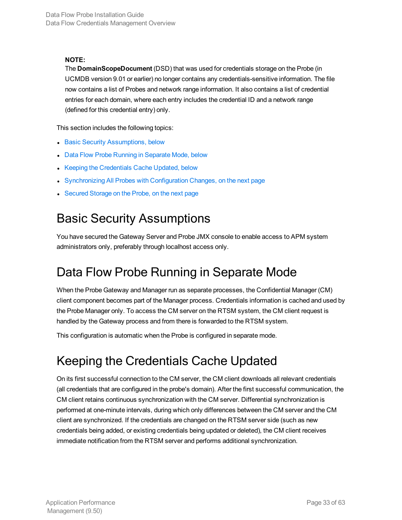The **DomainScopeDocument** (DSD) that was used for credentials storage on the Probe (in UCMDB version 9.01 or earlier) no longer contains any credentials-sensitive information. The file now contains a list of Probes and network range information. It also contains a list of credential entries for each domain, where each entry includes the credential ID and a network range (defined for this credential entry) only.

This section includes the following topics:

- Basic Security [Assumptions,](#page-32-0) below
- Data Flow Probe Running in [Separate](#page-32-1) Mode, below
- Keeping the [Credentials](#page-32-2) Cache Updated, below
- [Synchronizing](#page-33-0) All Probes with Configuration Changes, on the next page
- <span id="page-32-0"></span>• [Secured](#page-33-1) Storage on the Probe, on the next page

### Basic Security Assumptions

You have secured the Gateway Server and Probe JMX console to enable access to APM system administrators only, preferably through localhost access only.

### <span id="page-32-1"></span>Data Flow Probe Running in Separate Mode

When the Probe Gateway and Manager run as separate processes, the Confidential Manager (CM) client component becomes part of the Manager process. Credentials information is cached and used by the Probe Manager only. To access the CM server on the RTSM system, the CM client request is handled by the Gateway process and from there is forwarded to the RTSM system.

<span id="page-32-2"></span>This configuration is automatic when the Probe is configured in separate mode.

### Keeping the Credentials Cache Updated

On its first successful connection to the CM server, the CM client downloads all relevant credentials (all credentials that are configured in the probe's domain). After the first successful communication, the CM client retains continuous synchronization with the CM server. Differential synchronization is performed at one-minute intervals, during which only differences between the CM server and the CM client are synchronized. If the credentials are changed on the RTSM server side (such as new credentials being added, or existing credentials being updated or deleted), the CM client receives immediate notification from the RTSM server and performs additional synchronization.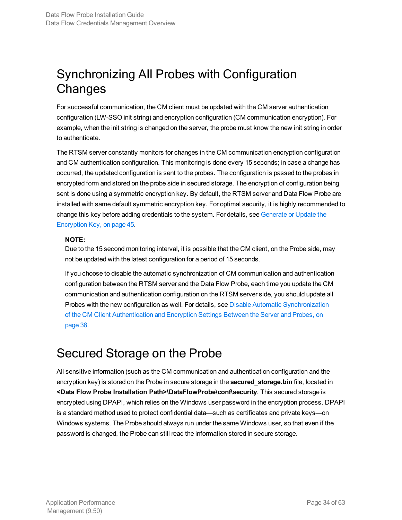### <span id="page-33-0"></span>Synchronizing All Probes with Configuration **Changes**

For successful communication, the CM client must be updated with the CM server authentication configuration (LW-SSO init string) and encryption configuration (CM communication encryption). For example, when the init string is changed on the server, the probe must know the new init string in order to authenticate.

The RTSM server constantly monitors for changes in the CM communication encryption configuration and CM authentication configuration. This monitoring is done every 15 seconds; in case a change has occurred, the updated configuration is sent to the probes. The configuration is passed to the probes in encrypted form and stored on the probe side in secured storage. The encryption of configuration being sent is done using a symmetric encryption key. By default, the RTSM server and Data Flow Probe are installed with same default symmetric encryption key. For optimal security, it is highly recommended to change this key before adding credentials to the system. For details, see [Generate](#page-44-0) or Update the [Encryption](#page-44-0) Key, on page 45.

### **NOTE:**

Due to the 15 second monitoring interval, it is possible that the CM client, on the Probe side, may not be updated with the latest configuration for a period of 15 seconds.

If you choose to disable the automatic synchronization of CM communication and authentication configuration between the RTSM server and the Data Flow Probe, each time you update the CM communication and authentication configuration on the RTSM server side, you should update all Probes with the new configuration as well. For details, see Disable Automatic [Synchronization](#page-37-1) of the CM Client [Authentication](#page-37-1) and Encryption Settings Between the Server and Probes, on [page](#page-37-1) 38.

### <span id="page-33-1"></span>Secured Storage on the Probe

All sensitive information (such as the CM communication and authentication configuration and the encryption key) is stored on the Probe in secure storage in the **secured\_storage.bin** file, located in **<Data Flow Probe Installation Path>\DataFlowProbe\conf\security**. This secured storage is encrypted using DPAPI, which relies on the Windows user password in the encryption process. DPAPI is a standard method used to protect confidential data—such as certificates and private keys—on Windows systems. The Probe should always run under the same Windows user, so that even if the password is changed, the Probe can still read the information stored in secure storage.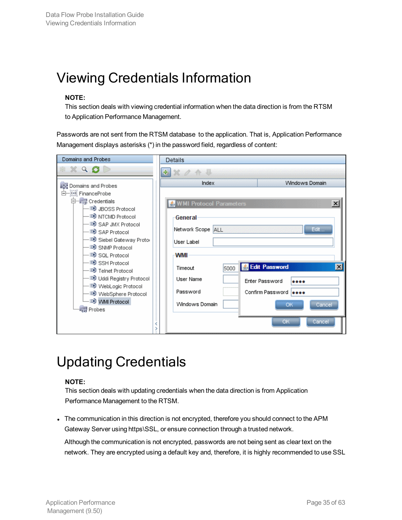# <span id="page-34-0"></span>Viewing Credentials Information

### **NOTE:**

This section deals with viewing credential information when the data direction is from the RTSM to Application Performance Management.

Passwords are not sent from the RTSM database to the application. That is, Application Performance Management displays asterisks (\*) in the password field, regardless of content:

| Domains and Probes                                                                                                                                                                                                                                                                                                                                                                                               |  | <b>Details</b>                                                                                                                                             |                                                                                                                                             |  |
|------------------------------------------------------------------------------------------------------------------------------------------------------------------------------------------------------------------------------------------------------------------------------------------------------------------------------------------------------------------------------------------------------------------|--|------------------------------------------------------------------------------------------------------------------------------------------------------------|---------------------------------------------------------------------------------------------------------------------------------------------|--|
| $\times$ Q $\sigma$ $>$                                                                                                                                                                                                                                                                                                                                                                                          |  | ÷                                                                                                                                                          |                                                                                                                                             |  |
| <b>Domains and Probes</b><br>⊟—∭∑ FinanceProbe<br>⊟—⊥ <sub>≣ञ</sub> ! Credentials<br>– in JBOSS Protocol<br>–≣9े NTCMD Protocol<br>-≣❶ SAP JMX Protocol<br>–≣❶ SAP Protocol<br>– ≣9े Siebel Gateway Proto<br>–≣9 SNMP Protocol<br>-≣9 SQL Protocol<br>-≣9 SSH Protocol<br>-≣9 Telnet Protocol<br>–≣9 Uddi Registry Protocol<br>- ③ WebLogic Protocol<br>–≣❶ WebSphere Protocol<br>-≣9 WMI Protocol<br>for Probes |  | Index<br>WMI Protocol Parameters<br>General<br>Network Scope ALL<br>User Label<br><b>WMI</b><br>Timeout<br>5000<br>User Name<br>Password<br>Windows Domain | Windows Domain<br>$\vert x \vert$<br>Edit<br><b>S</b> Edit Password<br>Ι×Ι<br>Enter Password<br><br>Confirm Password   eeee<br>ок<br>Cancel |  |
|                                                                                                                                                                                                                                                                                                                                                                                                                  |  |                                                                                                                                                            | Cancel<br>ОК                                                                                                                                |  |

# <span id="page-34-1"></span>Updating Credentials

### **NOTE:**

This section deals with updating credentials when the data direction is from Application Performance Management to the RTSM.

• The communication in this direction is not encrypted, therefore you should connect to the APM Gateway Server using https\SSL, or ensure connection through a trusted network.

Although the communication is not encrypted, passwords are not being sent as clear text on the network. They are encrypted using a default key and, therefore, it is highly recommended to use SSL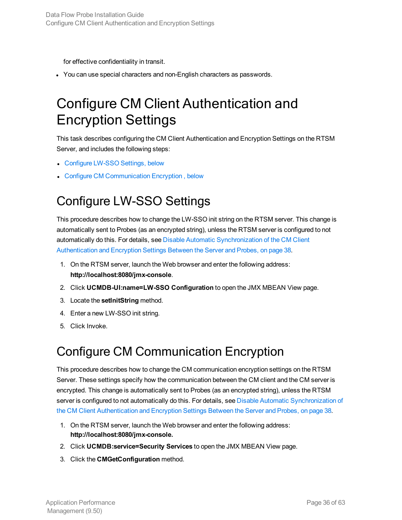for effective confidentiality in transit.

<span id="page-35-0"></span>• You can use special characters and non-English characters as passwords.

# Configure CM Client Authentication and Encryption Settings

This task describes configuring the CM Client Authentication and Encryption Settings on the RTSM Server, and includes the following steps:

- [Configure](#page-35-1) LW-SSO Settings, below
- <span id="page-35-1"></span>• Configure CM [Communication](#page-35-2) Encryption, below

### Configure LW-SSO Settings

This procedure describes how to change the LW-SSO init string on the RTSM server. This change is automatically sent to Probes (as an encrypted string), unless the RTSM server is configured to not automatically do this. For details, see Disable Automatic [Synchronization](#page-37-1) of the CM Client [Authentication](#page-37-1) and Encryption Settings Between the Server and Probes, on page 38.

- 1. On the RTSM server, launch the Web browser and enter the following address: **http://localhost:8080/jmx-console**.
- 2. Click **UCMDB-UI:name=LW-SSO Configuration** to open the JMX MBEAN View page.
- 3. Locate the **setInitString** method.
- 4. Enter a new LW-SSO init string.
- <span id="page-35-2"></span>5. Click Invoke.

### Configure CM Communication Encryption

This procedure describes how to change the CM communication encryption settings on the RTSM Server. These settings specify how the communication between the CM client and the CM server is encrypted. This change is automatically sent to Probes (as an encrypted string), unless the RTSM server is configured to not automatically do this. For details, see Disable Automatic [Synchronization](#page-37-1) of the CM Client [Authentication](#page-37-1) and Encryption Settings Between the Server and Probes, on page 38.

- 1. On the RTSM server, launch the Web browser and enter the following address: **http://localhost:8080/jmx-console.**
- 2. Click **UCMDB:service=Security Services** to open the JMX MBEAN View page.
- 3. Click the **CMGetConfiguration** method.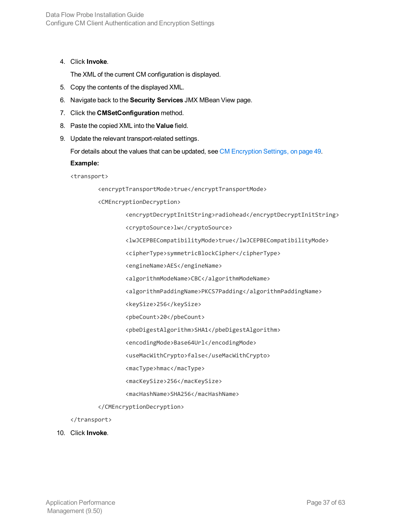4. Click **Invoke**.

The XML of the current CM configuration is displayed.

- 5. Copy the contents of the displayed XML.
- 6. Navigate back to the **Security Services** JMX MBean View page.
- 7. Click the **CMSetConfiguration** method.
- 8. Paste the copied XML into the **Value** field.
- 9. Update the relevant transport-related settings.

For details about the values that can be updated, see CM [Encryption](#page-48-1) Settings, on page 49.

#### **Example:**

<transport>

<encryptTransportMode>true</encryptTransportMode>

<CMEncryptionDecryption>

<encryptDecryptInitString>radiohead</encryptDecryptInitString>

<cryptoSource>lw</cryptoSource>

<lwJCEPBECompatibilityMode>true</lwJCEPBECompatibilityMode>

<cipherType>symmetricBlockCipher</cipherType>

<engineName>AES</engineName>

<algorithmModeName>CBC</algorithmModeName>

<algorithmPaddingName>PKCS7Padding</algorithmPaddingName>

<keySize>256</keySize>

<pbeCount>20</pbeCount>

<pbeDigestAlgorithm>SHA1</pbeDigestAlgorithm>

<encodingMode>Base64Url</encodingMode>

<useMacWithCrypto>false</useMacWithCrypto>

<macType>hmac</macType>

<macKeySize>256</macKeySize>

<macHashName>SHA256</macHashName>

</CMEncryptionDecryption>

</transport>

### 10. Click **Invoke**.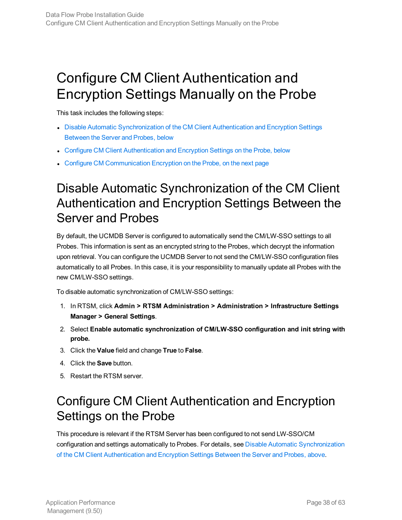# <span id="page-37-0"></span>Configure CM Client Authentication and Encryption Settings Manually on the Probe

This task includes the following steps:

- **.** Disable Automatic [Synchronization](#page-37-1) of the CM Client Authentication and Encryption Settings [Between](#page-37-1) the Server and Probes, below
- Configure CM Client [Authentication](#page-37-2) and Encryption Settings on the Probe, below
- <span id="page-37-1"></span>• Configure CM [Communication](#page-38-0) Encryption on the Probe, on the next page

### Disable Automatic Synchronization of the CM Client Authentication and Encryption Settings Between the Server and Probes

By default, the UCMDB Server is configured to automatically send the CM/LW-SSO settings to all Probes. This information is sent as an encrypted string to the Probes, which decrypt the information upon retrieval. You can configure the UCMDB Server to not send the CM/LW-SSO configuration files automatically to all Probes. In this case, it is your responsibility to manually update all Probes with the new CM/LW-SSO settings.

To disable automatic synchronization of CM/LW-SSO settings:

- 1. In RTSM, click **Admin > RTSM Administration > Administration > Infrastructure Settings Manager > General Settings**.
- 2. Select **Enable automatic synchronization of CM/LW-SSO configuration and init string with probe.**
- 3. Click the **Value** field and change **True** to **False**.
- 4. Click the **Save** button.
- <span id="page-37-2"></span>5. Restart the RTSM server.

### Configure CM Client Authentication and Encryption Settings on the Probe

This procedure is relevant if the RTSM Server has been configured to not send LW-SSO/CM configuration and settings automatically to Probes. For details, see Disable Automatic [Synchronization](#page-37-1) of the CM Client [Authentication](#page-37-1) and Encryption Settings Between the Server and Probes, above.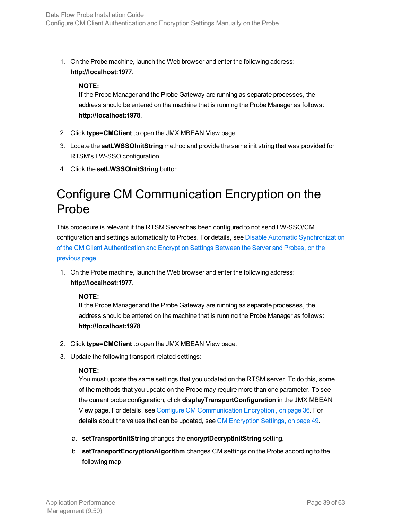1. On the Probe machine, launch the Web browser and enter the following address: **http://localhost:1977**.

### **NOTE:**

If the Probe Manager and the Probe Gateway are running as separate processes, the address should be entered on the machine that is running the Probe Manager as follows: **http://localhost:1978**.

- 2. Click **type=CMClient** to open the JMX MBEAN View page.
- 3. Locate the **setLWSSOInitString** method and provide the same init string that was provided for RTSM's LW-SSO configuration.
- <span id="page-38-0"></span>4. Click the **setLWSSOInitString** button.

### Configure CM Communication Encryption on the Probe

This procedure is relevant if the RTSM Server has been configured to not send LW-SSO/CM configuration and settings automatically to Probes. For details, see Disable Automatic [Synchronization](#page-37-1) of the CM Client [Authentication](#page-37-1) and Encryption Settings Between the Server and Probes, on the [previous](#page-37-1) page.

1. On the Probe machine, launch the Web browser and enter the following address: **http://localhost:1977**.

### **NOTE:**

If the Probe Manager and the Probe Gateway are running as separate processes, the address should be entered on the machine that is running the Probe Manager as follows: **http://localhost:1978**.

- 2. Click **type=CMClient** to open the JMX MBEAN View page.
- 3. Update the following transport-related settings:

### **NOTE:**

You must update the same settings that you updated on the RTSM server. To do this, some of the methods that you update on the Probe may require more than one parameter. To see the current probe configuration, click **displayTransportConfiguration** in the JMX MBEAN View page. For details, see Configure CM [Communication](#page-35-2) Encryption , on page 36. For details about the values that can be updated, see CM [Encryption](#page-48-1) Settings, on page 49.

- a. **setTransportInitString** changes the **encryptDecryptInitString** setting.
- b. **setTransportEncryptionAlgorithm** changes CM settings on the Probe according to the following map: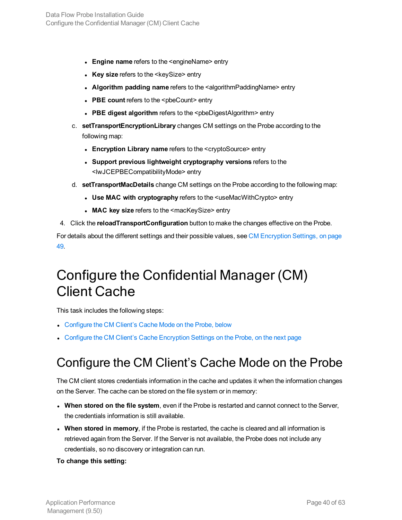- **Engine name** refers to the <engineName> entry
- **Key size** refers to the <keySize> entry
- **.** Algorithm padding name refers to the <algorithmPaddingName> entry
- PBE count refers to the <pbeCount> entry
- <sup>l</sup> **PBE digest algorithm** refers to the <pbeDigestAlgorithm> entry
- c. **setTransportEncryptionLibrary** changes CM settings on the Probe according to the following map:
	- <sup>l</sup> **Encryption Library name** refers to the <cryptoSource> entry
	- <sup>l</sup> **Support previous lightweight cryptography versions** refers to the <lwJCEPBECompatibilityMode> entry
- d. **setTransportMacDetails** change CM settings on the Probe according to the following map:
	- <sup>l</sup> **Use MAC with cryptography** refers to the <useMacWithCrypto> entry
	- <sup>l</sup> **MAC key size** refers to the <macKeySize> entry
- 4. Click the **reloadTransportConfiguration** button to make the changes effective on the Probe.

For details about the different settings and their possible values, see CM [Encryption](#page-48-1) Settings, on page [49.](#page-48-1)

# <span id="page-39-0"></span>Configure the Confidential Manager (CM) Client Cache

This task includes the following steps:

- [Configure](#page-39-1) the CM Client's Cache Mode on the Probe, below
- <span id="page-39-1"></span>• Configure the CM Client's Cache [Encryption](#page-40-0) Settings on the Probe, on the next page

### Configure the CM Client's Cache Mode on the Probe

The CM client stores credentials information in the cache and updates it when the information changes on the Server. The cache can be stored on the file system or in memory:

- <sup>l</sup> **When stored on the file system**, even if the Probe is restarted and cannot connect to the Server, the credentials information is still available.
- <sup>l</sup> **When stored in memory**, if the Probe is restarted, the cache is cleared and all information is retrieved again from the Server. If the Server is not available, the Probe does not include any credentials, so no discovery or integration can run.

### **To change this setting:**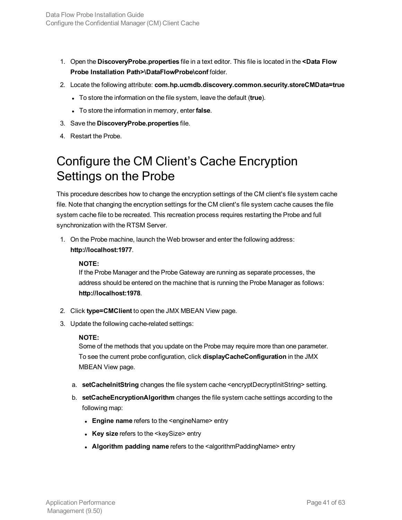- 1. Open the **DiscoveryProbe.properties** file in a text editor. This file is located in the **<Data Flow Probe Installation Path>\DataFlowProbe\conf** folder.
- 2. Locate the following attribute: **com.hp.ucmdb.discovery.common.security.storeCMData=true**
	- **.** To store the information on the file system, leave the default (true).
	- To store the information in memory, enter **false**.
- 3. Save the **DiscoveryProbe.properties** file.
- <span id="page-40-0"></span>4. Restart the Probe.

### Configure the CM Client's Cache Encryption Settings on the Probe

This procedure describes how to change the encryption settings of the CM client's file system cache file. Note that changing the encryption settings for the CM client's file system cache causes the file system cache file to be recreated. This recreation process requires restarting the Probe and full synchronization with the RTSM Server.

1. On the Probe machine, launch the Web browser and enter the following address: **http://localhost:1977**.

### **NOTE:**

If the Probe Manager and the Probe Gateway are running as separate processes, the address should be entered on the machine that is running the Probe Manager as follows: **http://localhost:1978**.

- 2. Click **type=CMClient** to open the JMX MBEAN View page.
- 3. Update the following cache-related settings:

### **NOTE:**

Some of the methods that you update on the Probe may require more than one parameter. To see the current probe configuration, click **displayCacheConfiguration** in the JMX MBEAN View page.

- a. **setCacheInitString** changes the file system cache <encryptDecryptInitString> setting.
- b. **setCacheEncryptionAlgorithm** changes the file system cache settings according to the following map:
	- **Engine name** refers to the <engineName> entry
	- <sup>l</sup> **Key size** refers to the <keySize> entry
	- **Algorithm padding name** refers to the <algorithmPaddingName> entry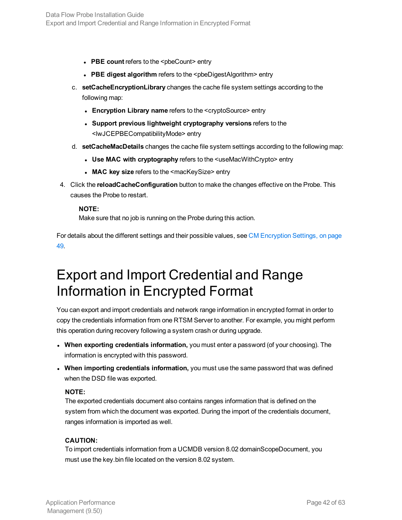- PBE count refers to the <pbeCount> entry
- **PBE digest algorithm** refers to the <pbeDigestAlgorithm> entry
- c. **setCacheEncryptionLibrary** changes the cache file system settings according to the following map:
	- <sup>l</sup> **Encryption Library name** refers to the <cryptoSource> entry
	- <sup>l</sup> **Support previous lightweight cryptography versions** refers to the <lwJCEPBECompatibilityMode> entry
- d. **setCacheMacDetails** changes the cache file system settings according to the following map:
	- <sup>l</sup> **Use MAC with cryptography** refers to the <useMacWithCrypto> entry
	- <sup>l</sup> **MAC key size** refers to the <macKeySize> entry
- 4. Click the **reloadCacheConfiguration** button to make the changes effective on the Probe. This causes the Probe to restart.

Make sure that no job is running on the Probe during this action.

For details about the different settings and their possible values, see CM [Encryption](#page-48-1) Settings, on page [49.](#page-48-1)

# <span id="page-41-0"></span>Export and Import Credential and Range Information in Encrypted Format

You can export and import credentials and network range information in encrypted format in order to copy the credentials information from one RTSM Server to another. For example, you might perform this operation during recovery following a system crash or during upgrade.

- <sup>l</sup> **When exporting credentials information,** you must enter a password (of your choosing). The information is encrypted with this password.
- <sup>l</sup> **When importing credentials information,** you must use the same password that was defined when the DSD file was exported.

### **NOTE:**

The exported credentials document also contains ranges information that is defined on the system from which the document was exported. During the import of the credentials document, ranges information is imported as well.

### **CAUTION:**

To import credentials information from a UCMDB version 8.02 domainScopeDocument, you must use the key.bin file located on the version 8.02 system.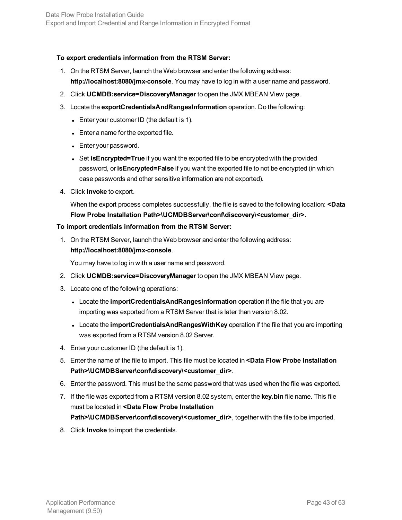### **To export credentials information from the RTSM Server:**

- 1. On the RTSM Server, launch the Web browser and enter the following address: **http://localhost:8080/jmx-console**. You may have to log in with a user name and password.
- 2. Click **UCMDB:service=DiscoveryManager** to open the JMX MBEAN View page.
- 3. Locate the **exportCredentialsAndRangesInformation** operation. Do the following:
	- Enter your customer ID (the default is 1).
	- Enter a name for the exported file.
	- Enter your password.
	- Set isEncrypted=True if you want the exported file to be encrypted with the provided password, or **isEncrypted=False** if you want the exported file to not be encrypted (in which case passwords and other sensitive information are not exported).
- 4. Click **Invoke** to export.

When the export process completes successfully, the file is saved to the following location: **<Data Flow Probe Installation Path>\UCMDBServer\conf\discovery\<customer\_dir>**.

### **To import credentials information from the RTSM Server:**

1. On the RTSM Server, launch the Web browser and enter the following address: **http://localhost:8080/jmx-console**.

You may have to log in with a user name and password.

- 2. Click **UCMDB:service=DiscoveryManager** to open the JMX MBEAN View page.
- 3. Locate one of the following operations:
	- **Locate the importCredentialsAndRangesInformation** operation if the file that you are importing was exported from a RTSM Server that is later than version 8.02.
	- **Locate the importCredentialsAndRangesWithKey operation if the file that you are importing** was exported from a RTSM version 8.02 Server.
- 4. Enter your customer ID (the default is 1).
- 5. Enter the name of the file to import. This file must be located in **<Data Flow Probe Installation Path>\UCMDBServer\conf\discovery\<customer\_dir>**.
- 6. Enter the password. This must be the same password that was used when the file was exported.
- 7. If the file was exported from a RTSM version 8.02 system, enter the **key.bin** file name. This file must be located in **<Data Flow Probe Installation Path>\UCMDBServer\conf\discovery\<customer\_dir>**, together with the file to be imported.
- 8. Click **Invoke** to import the credentials.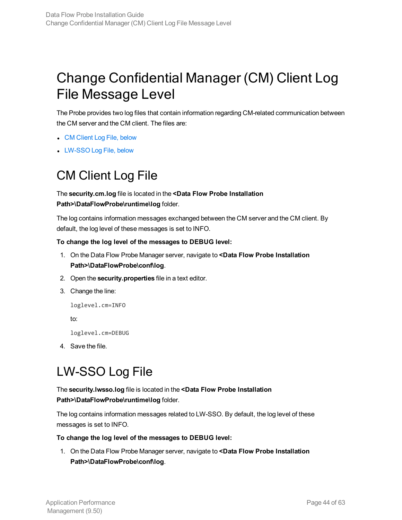# <span id="page-43-0"></span>Change Confidential Manager (CM) Client Log File Message Level

The Probe provides two log files that contain information regarding CM-related communication between the CM server and the CM client. The files are:

- CM [Client](#page-43-1) Log File, below
- <span id="page-43-1"></span>• [LW-SSO](#page-43-2) Log File, below

### CM Client Log File

The **security.cm.log** file is located in the **<Data Flow Probe Installation Path>\DataFlowProbe\runtime\log** folder.

The log contains information messages exchanged between the CM server and the CM client. By default, the log level of these messages is set to INFO.

### **To change the log level of the messages to DEBUG level:**

- 1. On the Data Flow Probe Manager server, navigate to **<Data Flow Probe Installation Path>\DataFlowProbe\conf\log**.
- 2. Open the **security.properties** file in a text editor.
- 3. Change the line:

```
loglevel.cm=INFO
```
to:

loglevel.cm=DEBUG

<span id="page-43-2"></span>4. Save the file.

### LW-SSO Log File

### The **security.lwsso.log** file is located in the **<Data Flow Probe Installation Path>\DataFlowProbe\runtime\log** folder.

The log contains information messages related to LW-SSO. By default, the log level of these messages is set to INFO.

### **To change the log level of the messages to DEBUG level:**

1. On the Data Flow Probe Manager server, navigate to **<Data Flow Probe Installation Path>\DataFlowProbe\conf\log**.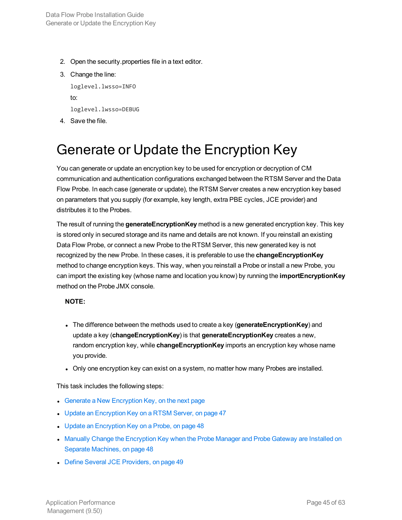- 2. Open the security.properties file in a text editor.
- 3. Change the line:

loglevel.lwsso=INFO to: loglevel.lwsso=DEBUG

<span id="page-44-0"></span>4. Save the file.

# Generate or Update the Encryption Key

You can generate or update an encryption key to be used for encryption or decryption of CM communication and authentication configurations exchanged between the RTSM Server and the Data Flow Probe. In each case (generate or update), the RTSM Server creates a new encryption key based on parameters that you supply (for example, key length, extra PBE cycles, JCE provider) and distributes it to the Probes.

The result of running the **generateEncryptionKey** method is a new generated encryption key. This key is stored only in secured storage and its name and details are not known. If you reinstall an existing Data Flow Probe, or connect a new Probe to the RTSM Server, this new generated key is not recognized by the new Probe. In these cases, it is preferable to use the **changeEncryptionKey** method to change encryption keys. This way, when you reinstall a Probe or install a new Probe, you can import the existing key (whose name and location you know) by running the **importEncryptionKey** method on the Probe JMX console.

### **NOTE:**

- **The difference between the methods used to create a key (generateEncryptionKey) and** update a key (**changeEncryptionKey**) is that **generateEncryptionKey** creates a new, random encryption key, while **changeEncryptionKey** imports an encryption key whose name you provide.
- Only one encryption key can exist on a system, no matter how many Probes are installed.

This task includes the following steps:

- Generate a New [Encryption](#page-45-0) Key, on the next page
- Update an [Encryption](#page-46-0) Key on a RTSM Server, on page 47
- Update an [Encryption](#page-47-0) Key on a Probe, on page 48
- Manually Change the [Encryption](#page-47-1) Key when the Probe Manager and Probe Gateway are Installed on Separate [Machines,](#page-47-1) on page 48
- Define Several JCE [Providers,](#page-48-0) on page 49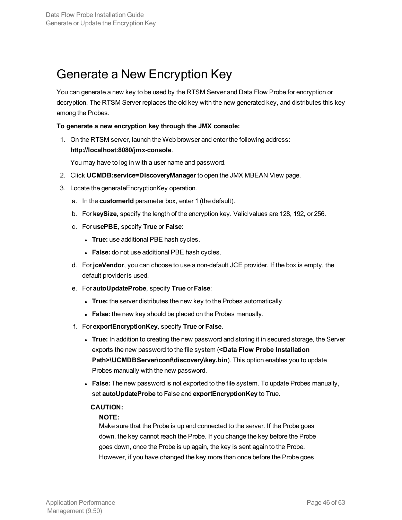### <span id="page-45-0"></span>Generate a New Encryption Key

You can generate a new key to be used by the RTSM Server and Data Flow Probe for encryption or decryption. The RTSM Server replaces the old key with the new generated key, and distributes this key among the Probes.

### **To generate a new encryption key through the JMX console:**

1. On the RTSM server, launch the Web browser and enter the following address: **http://localhost:8080/jmx-console**.

You may have to log in with a user name and password.

- 2. Click **UCMDB:service=DiscoveryManager** to open the JMX MBEAN View page.
- 3. Locate the generateEncryptionKey operation.
	- a. In the **customerId** parameter box, enter 1 (the default).
	- b. For **keySize**, specify the length of the encryption key. Valid values are 128, 192, or 256.
	- c. For **usePBE**, specify **True** or **False**:
		- **True:** use additional PBE hash cycles.
		- **False:** do not use additional PBE hash cycles.
	- d. For **jceVendor**, you can choose to use a non-default JCE provider. If the box is empty, the default provider is used.
	- e. For **autoUpdateProbe**, specify **True** or **False**:
		- **True:** the server distributes the new key to the Probes automatically.
		- **False:** the new key should be placed on the Probes manually.
	- f. For **exportEncryptionKey**, specify **True** or **False**.
		- **True:** In addition to creating the new password and storing it in secured storage, the Server exports the new password to the file system (**<Data Flow Probe Installation Path>\UCMDBServer\conf\discovery\key.bin**). This option enables you to update Probes manually with the new password.
		- **False:** The new password is not exported to the file system. To update Probes manually, set **autoUpdateProbe** to False and **exportEncryptionKey** to True.

#### **CAUTION:**

#### **NOTE:**

Make sure that the Probe is up and connected to the server. If the Probe goes down, the key cannot reach the Probe. If you change the key before the Probe goes down, once the Probe is up again, the key is sent again to the Probe. However, if you have changed the key more than once before the Probe goes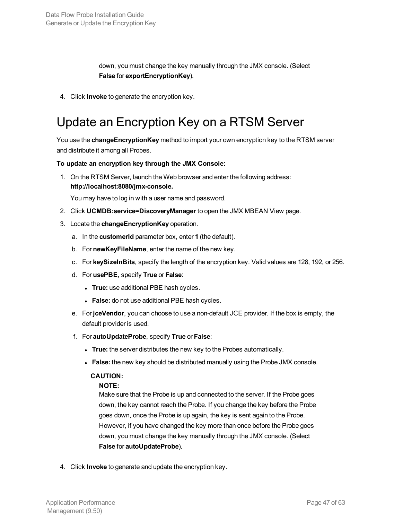down, you must change the key manually through the JMX console. (Select **False** for **exportEncryptionKey**).

<span id="page-46-0"></span>4. Click **Invoke** to generate the encryption key.

### Update an Encryption Key on a RTSM Server

You use the **changeEncryptionKey** method to import your own encryption key to the RTSM server and distribute it among all Probes.

### **To update an encryption key through the JMX Console:**

1. On the RTSM Server, launch the Web browser and enter the following address: **http://localhost:8080/jmx-console.**

You may have to log in with a user name and password.

- 2. Click **UCMDB:service=DiscoveryManager** to open the JMX MBEAN View page.
- 3. Locate the **changeEncryptionKey** operation.
	- a. In the **customerId** parameter box, enter **1** (the default).
	- b. For **newKeyFileName**, enter the name of the new key.
	- c. For **keySizeInBits**, specify the length of the encryption key. Valid values are 128, 192, or 256.
	- d. For **usePBE**, specify **True** or **False**:
		- **True:** use additional PBE hash cycles.
		- **False:** do not use additional PBE hash cycles.
	- e. For **jceVendor**, you can choose to use a non-default JCE provider. If the box is empty, the default provider is used.
	- f. For **autoUpdateProbe**, specify **True** or **False**:
		- **True:** the server distributes the new key to the Probes automatically.
		- **False:** the new key should be distributed manually using the Probe JMX console.

### **CAUTION:**

#### **NOTE:**

Make sure that the Probe is up and connected to the server. If the Probe goes down, the key cannot reach the Probe. If you change the key before the Probe goes down, once the Probe is up again, the key is sent again to the Probe. However, if you have changed the key more than once before the Probe goes down, you must change the key manually through the JMX console. (Select **False** for **autoUpdateProbe**).

4. Click **Invoke** to generate and update the encryption key.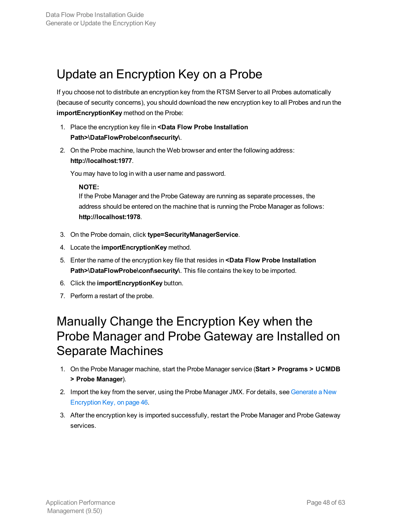### <span id="page-47-0"></span>Update an Encryption Key on a Probe

If you choose not to distribute an encryption key from the RTSM Server to all Probes automatically (because of security concerns), you should download the new encryption key to all Probes and run the **importEncryptionKey** method on the Probe:

- 1. Place the encryption key file in **<Data Flow Probe Installation Path>\DataFlowProbe\conf\security\**.
- 2. On the Probe machine, launch the Web browser and enter the following address: **http://localhost:1977**.

You may have to log in with a user name and password.

### **NOTE:**

If the Probe Manager and the Probe Gateway are running as separate processes, the address should be entered on the machine that is running the Probe Manager as follows: **http://localhost:1978**.

- 3. On the Probe domain, click **type=SecurityManagerService**.
- 4. Locate the **importEncryptionKey** method.
- 5. Enter the name of the encryption key file that resides in **<Data Flow Probe Installation Path>\DataFlowProbe\conf\security\**. This file contains the key to be imported.
- <span id="page-47-1"></span>6. Click the **importEncryptionKey** button.
- 7. Perform a restart of the probe.

### Manually Change the Encryption Key when the Probe Manager and Probe Gateway are Installed on Separate Machines

- 1. On the Probe Manager machine, start the Probe Manager service (**Start > Programs > UCMDB > Probe Manager**).
- 2. Import the key from the server, using the Probe Manager JMX. For details, see [Generate](#page-45-0) a New [Encryption](#page-45-0) Key, on page 46.
- 3. After the encryption key is imported successfully, restart the Probe Manager and Probe Gateway services.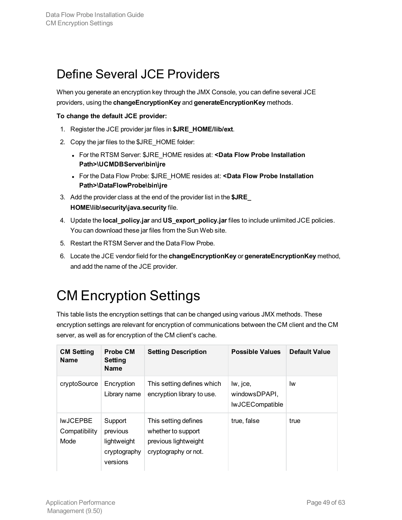# <span id="page-48-0"></span>Define Several JCE Providers

When you generate an encryption key through the JMX Console, you can define several JCE providers, using the **changeEncryptionKey** and **generateEncryptionKey** methods.

### **To change the default JCE provider:**

- 1. Register the JCE provider jar files in **\$JRE\_HOME/lib/ext**.
- 2. Copy the jar files to the \$JRE\_HOME folder:
	- <sup>l</sup> For the RTSM Server: \$JRE\_HOME resides at: **<Data Flow Probe Installation Path>\UCMDBServer\bin\jre**
	- <sup>l</sup> For the Data Flow Probe: \$JRE\_HOME resides at: **<Data Flow Probe Installation Path>\DataFlowProbe\bin\jre**
- 3. Add the provider class at the end of the provider list in the **\$JRE\_ HOME\lib\security\java.security** file.
- 4. Update the **local\_policy.jar** and **US\_export\_policy.jar** files to include unlimited JCE policies. You can download these jar files from the Sun Web site.
- 5. Restart the RTSM Server and the Data Flow Probe.
- 6. Locate the JCE vendor field for the **changeEncryptionKey** or **generateEncryptionKey** method, and add the name of the JCE provider.

# <span id="page-48-1"></span>CM Encryption Settings

This table lists the encryption settings that can be changed using various JMX methods. These encryption settings are relevant for encryption of communications between the CM client and the CM server, as well as for encryption of the CM client's cache.

| <b>CM Setting</b><br>Name                       | <b>Probe CM</b><br>Setting<br><b>Name</b>                      | <b>Setting Description</b>                                                                 | <b>Possible Values</b>                              | <b>Default Value</b> |
|-------------------------------------------------|----------------------------------------------------------------|--------------------------------------------------------------------------------------------|-----------------------------------------------------|----------------------|
| cryptoSource                                    | Encryption<br>Library name                                     | This setting defines which<br>encryption library to use.                                   | lw, jce,<br>windowsDPAPI.<br><b>IwJCECompatible</b> | lw                   |
| <b>IWJCEPBE</b><br>Compatibility<br><b>Mode</b> | Support<br>previous<br>lightweight<br>cryptography<br>versions | This setting defines<br>whether to support<br>previous lightweight<br>cryptography or not. | true, false                                         | true                 |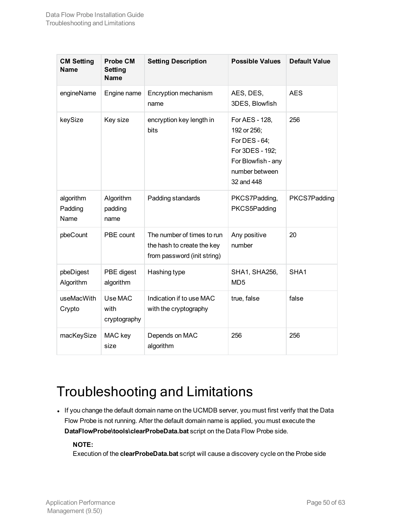| <b>CM Setting</b><br><b>Name</b> | <b>Probe CM</b><br><b>Setting</b><br><b>Name</b> | <b>Setting Description</b>                                                              | <b>Possible Values</b>                                                                                                  | <b>Default Value</b> |
|----------------------------------|--------------------------------------------------|-----------------------------------------------------------------------------------------|-------------------------------------------------------------------------------------------------------------------------|----------------------|
| engineName                       | Engine name                                      | Encryption mechanism<br>name                                                            | AES, DES,<br>3DES, Blowfish                                                                                             | <b>AES</b>           |
| keySize                          | Key size                                         | encryption key length in<br>bits                                                        | For AES - 128,<br>192 or 256;<br>For DES - 64;<br>For 3DES - 192;<br>For Blowfish - any<br>number between<br>32 and 448 | 256                  |
| algorithm<br>Padding<br>Name     | Algorithm<br>padding<br>name                     | Padding standards                                                                       | PKCS7Padding,<br>PKCS5Padding                                                                                           | PKCS7Padding         |
| pbeCount                         | PBE count                                        | The number of times to run<br>the hash to create the key<br>from password (init string) | Any positive<br>number                                                                                                  | 20                   |
| pbeDigest<br>Algorithm           | PBE digest<br>algorithm                          | Hashing type                                                                            | <b>SHA1, SHA256,</b><br>MD <sub>5</sub>                                                                                 | SHA1                 |
| useMacWith<br>Crypto             | Use MAC<br>with<br>cryptography                  | Indication if to use MAC<br>with the cryptography                                       | true, false                                                                                                             | false                |
| macKeySize                       | MAC key<br>size                                  | Depends on MAC<br>algorithm                                                             | 256                                                                                                                     | 256                  |

# <span id="page-49-0"></span>Troubleshooting and Limitations

• If you change the default domain name on the UCMDB server, you must first verify that the Data Flow Probe is not running. After the default domain name is applied, you must execute the **DataFlowProbe\tools\clearProbeData.bat** script on the Data Flow Probe side.

### **NOTE:**

Execution of the **clearProbeData.bat** script will cause a discovery cycle on the Probe side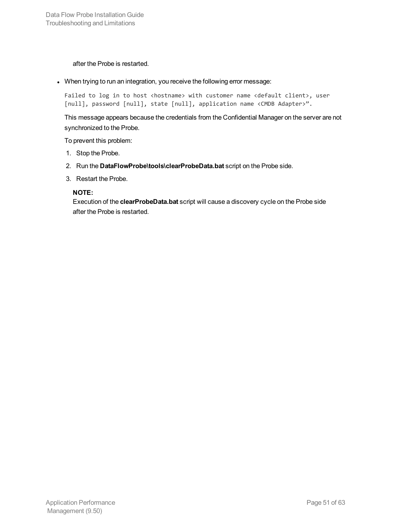after the Probe is restarted.

• When trying to run an integration, you receive the following error message:

Failed to log in to host <hostname> with customer name <default client>, user [null], password [null], state [null], application name <CMDB Adapter>".

This message appears because the credentials from the Confidential Manager on the server are not synchronized to the Probe.

To prevent this problem:

- 1. Stop the Probe.
- 2. Run the **DataFlowProbe\tools\clearProbeData.bat** script on the Probe side.
- 3. Restart the Probe.

### **NOTE:**

Execution of the **clearProbeData.bat** script will cause a discovery cycle on the Probe side after the Probe is restarted.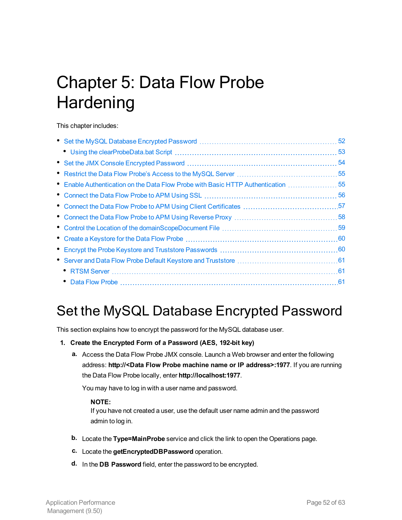# <span id="page-51-0"></span>Chapter 5: Data Flow Probe **Hardening**

This chapter includes:

|                                                                                   | 53 |
|-----------------------------------------------------------------------------------|----|
|                                                                                   |    |
|                                                                                   |    |
| • Enable Authentication on the Data Flow Probe with Basic HTTP Authentication  55 |    |
|                                                                                   |    |
|                                                                                   |    |
|                                                                                   |    |
|                                                                                   |    |
|                                                                                   |    |
|                                                                                   |    |
|                                                                                   |    |
|                                                                                   |    |
|                                                                                   |    |

# <span id="page-51-1"></span>Set the MySQL Database Encrypted Password

This section explains how to encrypt the password for the MySQL database user.

- **1. Create the Encrypted Form of a Password (AES, 192-bit key)**
	- **a.** Access the Data Flow Probe JMX console. Launch a Web browser and enter the following address: **http://<Data Flow Probe machine name or IP address>:1977**. If you are running the Data Flow Probe locally, enter **http://localhost:1977**.

You may have to log in with a user name and password.

#### **NOTE:**

If you have not created a user, use the default user name admin and the password admin to log in.

- **b.** Locate the **Type=MainProbe** service and click the link to open the Operations page.
- **c.** Locate the **getEncryptedDBPassword** operation.
- **d.** In the **DB Password** field, enter the password to be encrypted.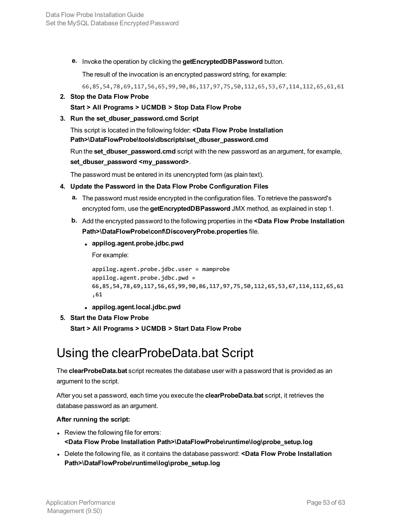**e.** Invoke the operation by clicking the **getEncryptedDBPassword** button.

The result of the invocation is an encrypted password string, for example:

66,85,54,78,69,117,56,65,99,90,86,117,97,75,50,112,65,53,67,114,112,65,61,61

**2. Stop the Data Flow Probe**

**Start > All Programs > UCMDB > Stop Data Flow Probe**

**3. Run the set\_dbuser\_password.cmd Script**

This script is located in the following folder: **<Data Flow Probe Installation Path>\DataFlowProbe\tools\dbscripts\set\_dbuser\_password.cmd**

Run the **set\_dbuser\_password.cmd** script with the new password as an argument, for example, **set\_dbuser\_password <my\_password>**.

The password must be entered in its unencrypted form (as plain text).

### **4. Update the Password in the Data Flow Probe Configuration Files**

- **a.** The password must reside encrypted in the configuration files. To retrieve the password's encrypted form, use the **getEncryptedDBPassword** JMX method, as explained in step 1.
- **b.** Add the encrypted password to the following properties in the **<Data Flow Probe Installation Path>\DataFlowProbe\conf\DiscoveryProbe.properties** file.
	- <sup>l</sup> **appilog.agent.probe.jdbc.pwd**

For example:

**appilog.agent.probe.jdbc.user = mamprobe appilog.agent.probe.jdbc.pwd = 66,85,54,78,69,117,56,65,99,90,86,117,97,75,50,112,65,53,67,114,112,65,61 ,61**

<sup>l</sup> **appilog.agent.local.jdbc.pwd**

#### **5. Start the Data Flow Probe**

**Start > All Programs > UCMDB > Start Data Flow Probe**

### <span id="page-52-0"></span>Using the clearProbeData.bat Script

The **clearProbeData.bat** script recreates the database user with a password that is provided as an argument to the script.

After you set a password, each time you execute the **clearProbeData.bat** script, it retrieves the database password as an argument.

#### **After running the script:**

- Review the following file for errors: **<Data Flow Probe Installation Path>\DataFlowProbe\runtime\log\probe\_setup.log**
- <sup>l</sup> Delete the following file, as it contains the database password: **<Data Flow Probe Installation Path>\DataFlowProbe\runtime\log\probe\_setup.log**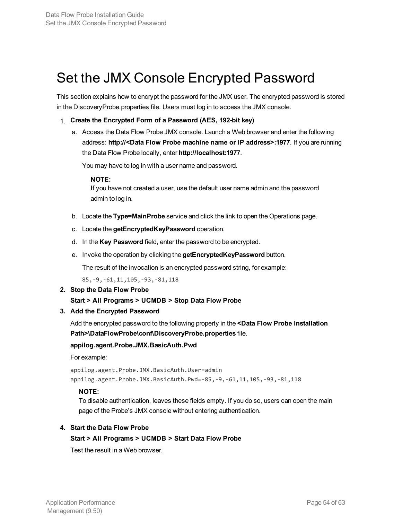### <span id="page-53-0"></span>Set the JMX Console Encrypted Password

This section explains how to encrypt the password for the JMX user. The encrypted password is stored in the DiscoveryProbe.properties file. Users must log in to access the JMX console.

- 1. **Create the Encrypted Form of a Password (AES, 192-bit key)**
	- a. Access the Data Flow Probe JMX console. Launch a Web browser and enter the following address: **http://<Data Flow Probe machine name or IP address>:1977**. If you are running the Data Flow Probe locally, enter **http://localhost:1977**.

You may have to log in with a user name and password.

#### **NOTE:**

If you have not created a user, use the default user name admin and the password admin to log in.

- b. Locate the **Type=MainProbe** service and click the link to open the Operations page.
- c. Locate the **getEncryptedKeyPassword** operation.
- d. In the **Key Password** field, enter the password to be encrypted.
- e. Invoke the operation by clicking the **getEncryptedKeyPassword** button.

The result of the invocation is an encrypted password string, for example:

85,-9,-61,11,105,-93,-81,118

**2. Stop the Data Flow Probe**

#### **Start > All Programs > UCMDB > Stop Data Flow Probe**

#### **3. Add the Encrypted Password**

Add the encrypted password to the following property in the **<Data Flow Probe Installation Path>\DataFlowProbe\conf\DiscoveryProbe.properties** file.

#### **appilog.agent.Probe.JMX.BasicAuth.Pwd**

For example:

appilog.agent.Probe.JMX.BasicAuth.User=admin appilog.agent.Probe.JMX.BasicAuth.Pwd=-85,-9,-61,11,105,-93,-81,118

### **NOTE:**

To disable authentication, leaves these fields empty. If you do so, users can open the main page of the Probe's JMX console without entering authentication.

#### **4. Start the Data Flow Probe**

### **Start > All Programs > UCMDB > Start Data Flow Probe**

Test the result in a Web browser.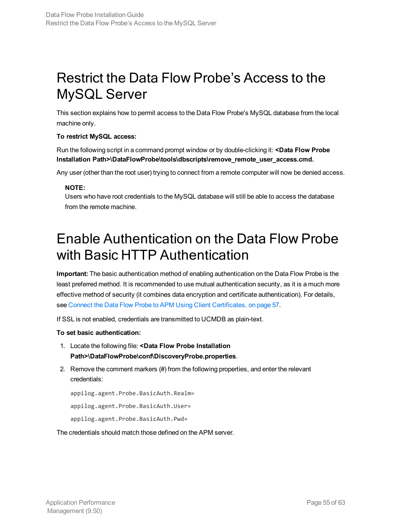# <span id="page-54-0"></span>Restrict the Data Flow Probe's Access to the MySQL Server

This section explains how to permit access to the Data Flow Probe's MySQL database from the local machine only.

### **To restrict MySQL access:**

Run the following script in a command prompt window or by double-clicking it: **<Data Flow Probe Installation Path>\DataFlowProbe\tools\dbscripts\remove\_remote\_user\_access.cmd.**

Any user (other than the root user) trying to connect from a remote computer will now be denied access.

### **NOTE:**

Users who have root credentials to the MySQL database will still be able to access the database from the remote machine.

# <span id="page-54-1"></span>Enable Authentication on the Data Flow Probe with Basic HTTP Authentication

**Important:** The basic authentication method of enabling authentication on the Data Flow Probe is the least preferred method. It is recommended to use mutual authentication security, as it is a much more effective method of security (it combines data encryption and certificate authentication). For details, see Connect the Data Flow Probe to APM Using Client [Certificates,](#page-56-0) on page 57.

If SSL is not enabled, credentials are transmitted to UCMDB as plain-text.

### **To set basic authentication:**

- 1. Locate the following file: **<Data Flow Probe Installation Path>\DataFlowProbe\conf\DiscoveryProbe.properties**.
- 2. Remove the comment markers (#) from the following properties, and enter the relevant credentials:

appilog.agent.Probe.BasicAuth.Realm=

appilog.agent.Probe.BasicAuth.User=

appilog.agent.Probe.BasicAuth.Pwd=

The credentials should match those defined on the APM server.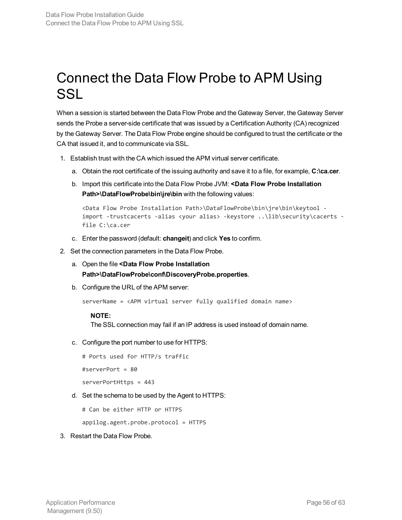# <span id="page-55-0"></span>Connect the Data Flow Probe to APM Using SSL

When a session is started between the Data Flow Probe and the Gateway Server, the Gateway Server sends the Probe a server-side certificate that was issued by a Certification Authority (CA) recognized by the Gateway Server. The Data Flow Probe engine should be configured to trust the certificate or the CA that issued it, and to communicate via SSL.

- 1. Establish trust with the CA which issued the APM virtual server certificate.
	- a. Obtain the root certificate of the issuing authority and save it to a file, for example, **C:\ca.cer**.
	- b. Import this certificate into the Data Flow Probe JVM: **<Data Flow Probe Installation Path>\DataFlowProbe\bin\jre\bin** with the following values:

```
<Data Flow Probe Installation Path>\DataFlowProbe\bin\jre\bin\keytool -
import -trustcacerts -alias <your alias> -keystore ..\lib\security\cacerts -
file C:\ca.cer
```
- c. Enter the password (default: **changeit**) and click **Yes** to confirm.
- 2. Set the connection parameters in the Data Flow Probe.
	- a. Open the file **<Data Flow Probe Installation Path>\DataFlowProbe\conf\DiscoveryProbe.properties**.
	- b. Configure the URL of the APM server:

```
serverName = <APM virtual server fully qualified domain name>
```
#### **NOTE:**

The SSL connection may fail if an IP address is used instead of domain name.

c. Configure the port number to use for HTTPS:

```
# Ports used for HTTP/s traffic
```
#serverPort = 80

serverPortHttps = 443

d. Set the schema to be used by the Agent to HTTPS:

# Can be either HTTP or HTTPS

appilog.agent.probe.protocol = HTTPS

#### 3. Restart the Data Flow Probe.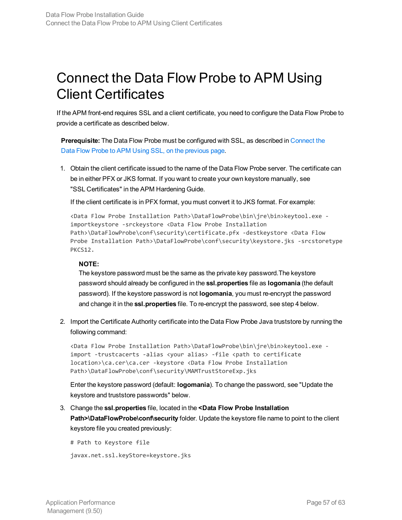# <span id="page-56-0"></span>Connect the Data Flow Probe to APM Using Client Certificates

If the APM front-end requires SSL and a client certificate, you need to configure the Data Flow Probe to provide a certificate as described below.

**Prerequisite:** The Data Flow Probe must be configured with SSL, as described in [Connect](#page-55-0) the Data Flow Probe to APM Using SSL, on the [previous](#page-55-0) page.

1. Obtain the client certificate issued to the name of the Data Flow Probe server. The certificate can be in either PFX or JKS format. If you want to create your own keystore manually, see "SSL Certificates" in the APM Hardening Guide.

If the client certificate is in PFX format, you must convert it to JKS format. For example:

```
<Data Flow Probe Installation Path>\DataFlowProbe\bin\jre\bin>keytool.exe -
importkeystore -srckeystore <Data Flow Probe Installation
Path>\DataFlowProbe\conf\security\certificate.pfx -destkeystore <Data Flow
Probe Installation Path>\DataFlowProbe\conf\security\keystore.jks -srcstoretype
PKCS12.
```
### **NOTE:**

The keystore password must be the same as the private key password.The keystore password should already be configured in the **ssl.properties** file as **logomania** (the default password). If the keystore password is not **logomania**, you must re-encrypt the password and change it in the **ssl.properties** file. To re-encrypt the password, see step 4 below.

2. Import the Certificate Authority certificate into the Data Flow Probe Java truststore by running the following command:

<Data Flow Probe Installation Path>\DataFlowProbe\bin\jre\bin>keytool.exe import -trustcacerts -alias <your alias> -file <path to certificate location>\ca.cer\ca.cer -keystore <Data Flow Probe Installation Path>\DataFlowProbe\conf\security\MAMTrustStoreExp.jks

Enter the keystore password (default: **logomania**). To change the password, see "Update the keystore and truststore passwords" below.

3. Change the **ssl.properties** file, located in the **<Data Flow Probe Installation Path>\DataFlowProbe\conf\security** folder. Update the keystore file name to point to the client keystore file you created previously:

```
# Path to Keystore file
```

```
javax.net.ssl.keyStore=keystore.jks
```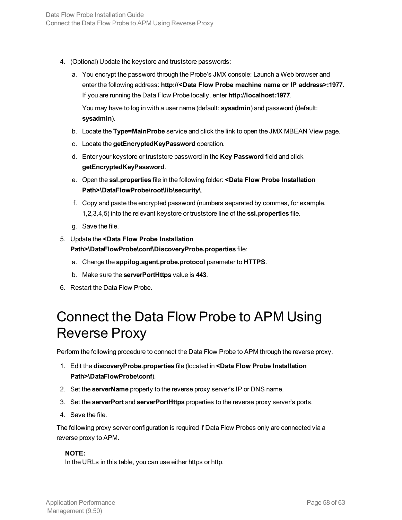- 4. (Optional) Update the keystore and truststore passwords:
	- a. You encrypt the password through the Probe's JMX console: Launch a Web browser and enter the following address: **http://<Data Flow Probe machine name or IP address>:1977**. If you are running the Data Flow Probe locally, enter **http://localhost:1977**.

You may have to log in with a user name (default: **sysadmin**) and password (default: **sysadmin**).

- b. Locate the **Type=MainProbe** service and click the link to open the JMX MBEAN View page.
- c. Locate the **getEncryptedKeyPassword** operation.
- d. Enter your keystore or truststore password in the **Key Password** field and click **getEncryptedKeyPassword**.
- e. Open the **ssl.properties** file in the following folder: **<Data Flow Probe Installation Path>\DataFlowProbe\root\lib\security\**.
- f. Copy and paste the encrypted password (numbers separated by commas, for example, 1,2,3,4,5) into the relevant keystore or truststore line of the **ssl.properties** file.
- g. Save the file.
- 5. Update the **<Data Flow Probe Installation Path>\DataFlowProbe\conf\DiscoveryProbe.properties** file:
	- a. Change the **appilog.agent.probe.protocol** parameter to **HTTPS**.
	- b. Make sure the **serverPortHttps** value is **443**.
- <span id="page-57-0"></span>6. Restart the Data Flow Probe.

# Connect the Data Flow Probe to APM Using Reverse Proxy

Perform the following procedure to connect the Data Flow Probe to APM through the reverse proxy.

- 1. Edit the **discoveryProbe.properties** file (located in **<Data Flow Probe Installation Path>\DataFlowProbe\conf**).
- 2. Set the **serverName** property to the reverse proxy server's IP or DNS name.
- 3. Set the **serverPort** and **serverPortHttps** properties to the reverse proxy server's ports.
- 4. Save the file.

The following proxy server configuration is required if Data Flow Probes only are connected via a reverse proxy to APM.

### **NOTE:**

In the URLs in this table, you can use either https or http.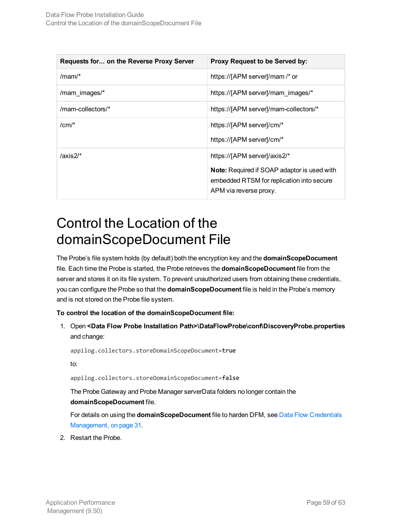| Requests for on the Reverse Proxy Server | Proxy Request to be Served by:                                                                                                                            |
|------------------------------------------|-----------------------------------------------------------------------------------------------------------------------------------------------------------|
| /mam/ $*$                                | https://[APM server]/mam /* or                                                                                                                            |
| /mam images/*                            | https://[APM server]/mam images/*                                                                                                                         |
| /mam-collectors/*                        | https://[APM server]/mam-collectors/*                                                                                                                     |
| $/cm/$ *                                 | https://[APM server]/cm/*<br>https://[APM server]/cm/*                                                                                                    |
| /axis2/ $*$                              | https://[APM server]/axis2/*<br><b>Note:</b> Required if SOAP adaptor is used with<br>embedded RTSM for replication into secure<br>APM via reverse proxy. |

# <span id="page-58-0"></span>Control the Location of the domainScopeDocument File

The Probe's file system holds (by default) both the encryption key and the **domainScopeDocument** file. Each time the Probe is started, the Probe retrieves the **domainScopeDocument** file from the server and stores it on its file system. To prevent unauthorized users from obtaining these credentials, you can configure the Probe so that the **domainScopeDocument** file is held in the Probe's memory and is not stored on the Probe file system.

**To control the location of the domainScopeDocument file:**

1. Open **<Data Flow Probe Installation Path>\DataFlowProbe\conf\DiscoveryProbe.properties** and change:

appilog.collectors.storeDomainScopeDocument=**true**

to:

appilog.collectors.storeDomainScopeDocument=**false**

The Probe Gateway and Probe Manager serverData folders no longer contain the **domainScopeDocument** file.

For details on using the **domainScopeDocument** file to harden DFM, see Data Flow [Credentials](#page-30-0) [Management,](#page-30-0) on page 31.

2. Restart the Probe.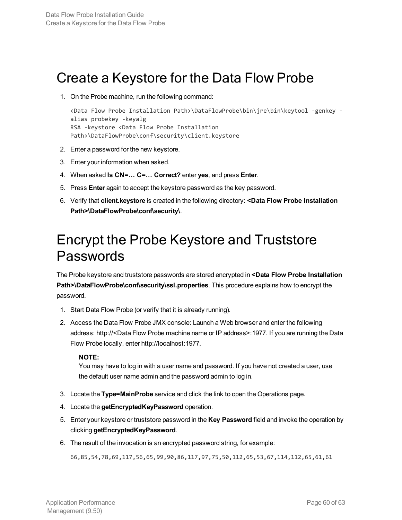### <span id="page-59-0"></span>Create a Keystore for the Data Flow Probe

1. On the Probe machine, run the following command:

```
<Data Flow Probe Installation Path>\DataFlowProbe\bin\jre\bin\keytool -genkey -
alias probekey -keyalg
RSA -keystore <Data Flow Probe Installation
Path>\DataFlowProbe\conf\security\client.keystore
```
- 2. Enter a password for the new keystore.
- 3. Enter your information when asked.
- 4. When asked **Is CN=… C=… Correct?** enter **yes**, and press **Enter**.
- 5. Press **Enter** again to accept the keystore password as the key password.
- 6. Verify that **client.keystore** is created in the following directory: **<Data Flow Probe Installation Path>\DataFlowProbe\conf\security\**.

### <span id="page-59-1"></span>Encrypt the Probe Keystore and Truststore Passwords

The Probe keystore and truststore passwords are stored encrypted in **<Data Flow Probe Installation Path>\DataFlowProbe\conf\security\ssl.properties**. This procedure explains how to encrypt the password.

- 1. Start Data Flow Probe (or verify that it is already running).
- 2. Access the Data Flow Probe JMX console: Launch a Web browser and enter the following address: http://<Data Flow Probe machine name or IP address>:1977. If you are running the Data Flow Probe locally, enter http://localhost:1977.

### **NOTE:**

You may have to log in with a user name and password. If you have not created a user, use the default user name admin and the password admin to log in.

- 3. Locate the **Type=MainProbe** service and click the link to open the Operations page.
- 4. Locate the **getEncryptedKeyPassword** operation.
- 5. Enter your keystore or truststore password in the **Key Password** field and invoke the operation by clicking **getEncryptedKeyPassword**.
- 6. The result of the invocation is an encrypted password string, for example:

66,85,54,78,69,117,56,65,99,90,86,117,97,75,50,112,65,53,67,114,112,65,61,61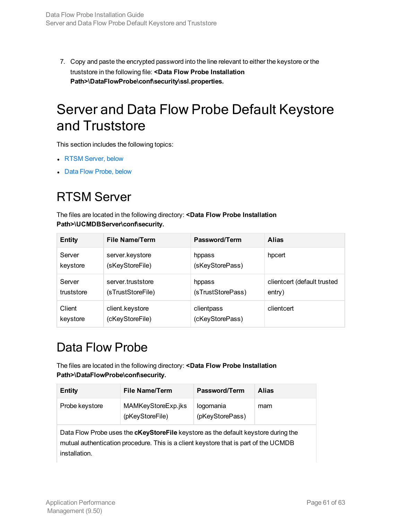7. Copy and paste the encrypted password into the line relevant to either the keystore or the truststore in the following file: **<Data Flow Probe Installation Path>\DataFlowProbe\conf\security\ssl.properties.**

# <span id="page-60-0"></span>Server and Data Flow Probe Default Keystore and Truststore

This section includes the following topics:

- RTSM [Server,](#page-60-1) below
- <span id="page-60-1"></span>• Data Flow [Probe,](#page-60-2) below

### RTSM Server

The files are located in the following directory: **<Data Flow Probe Installation Path>\UCMDBServer\conf\security.**

| <b>Entity</b> | <b>File Name/Term</b> | Password/Term     | <b>Alias</b>                |
|---------------|-----------------------|-------------------|-----------------------------|
| Server        | server.keystore       | hppass            | hpcert                      |
| keystore      | (sKeyStoreFile)       | (sKeyStorePass)   |                             |
| Server        | server.truststore     | hppass            | clientcert (default trusted |
| truststore    | (sTrustStoreFile)     | (sTrustStorePass) | entry)                      |
| Client        | client.keystore       | clientpass        | clientcert                  |
| keystore      | (cKeyStoreFile)       | (cKeyStorePass)   |                             |

### <span id="page-60-2"></span>Data Flow Probe

The files are located in the following directory: **<Data Flow Probe Installation Path>\DataFlowProbe\conf\security.**

| Entity         | <b>File Name/Term</b>                 | <b>Password/Term</b>         | <b>Alias</b> |
|----------------|---------------------------------------|------------------------------|--------------|
| Probe keystore | MAMKeyStoreExp.jks<br>(pKeyStoreFile) | logomania<br>(pKeyStorePass) | mam          |

Data Flow Probe uses the **cKeyStoreFile** keystore as the default keystore during the mutual authentication procedure. This is a client keystore that is part of the UCMDB installation.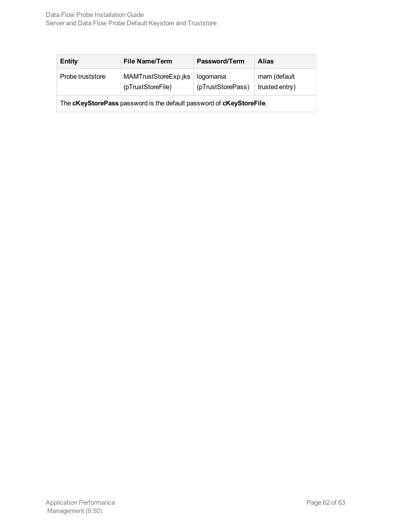| <b>Entity</b>                                                        | <b>File Name/Term</b>                     | Password/Term                  | <b>Alias</b>                   |  |  |
|----------------------------------------------------------------------|-------------------------------------------|--------------------------------|--------------------------------|--|--|
| Probe truststore                                                     | MAMTrustStoreExp.jks<br>(pTrustStoreFile) | logomania<br>(pTrustStorePass) | mam (default<br>trusted entry) |  |  |
| The cKeyStorePass password is the default password of cKeyStoreFile. |                                           |                                |                                |  |  |